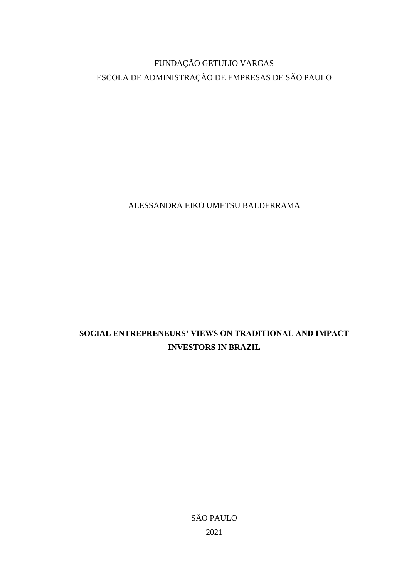# FUNDAÇÃO GETULIO VARGAS ESCOLA DE ADMINISTRAÇÃO DE EMPRESAS DE SÃO PAULO

ALESSANDRA EIKO UMETSU BALDERRAMA

# **SOCIAL ENTREPRENEURS' VIEWS ON TRADITIONAL AND IMPACT INVESTORS IN BRAZIL**

SÃO PAULO 2021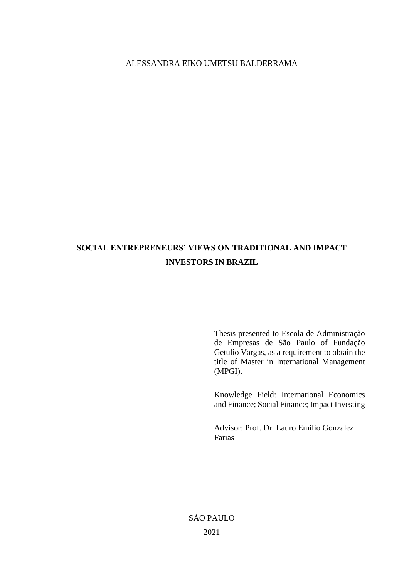# ALESSANDRA EIKO UMETSU BALDERRAMA

# **SOCIAL ENTREPRENEURS' VIEWS ON TRADITIONAL AND IMPACT INVESTORS IN BRAZIL**

Thesis presented to Escola de Administração de Empresas de São Paulo of Fundação Getulio Vargas, as a requirement to obtain the title of Master in International Management (MPGI).

Knowledge Field: International Economics and Finance; Social Finance; Impact Investing

Advisor: Prof. Dr. Lauro Emilio Gonzalez Farias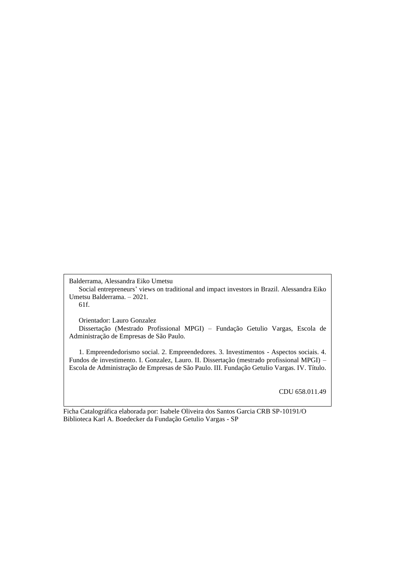Balderrama, Alessandra Eiko Umetsu Social entrepreneurs' views on traditional and impact investors in Brazil. Alessandra Eiko Umetsu Balderrama. – 2021. 61f.

Orientador: Lauro Gonzalez

Dissertação (Mestrado Profissional MPGI) – Fundação Getulio Vargas, Escola de Administração de Empresas de São Paulo.

1. Empreendedorismo social. 2. Empreendedores. 3. Investimentos - Aspectos sociais. 4. Fundos de investimento. I. Gonzalez, Lauro. II. Dissertação (mestrado profissional MPGI) – Escola de Administração de Empresas de São Paulo. III. Fundação Getulio Vargas. IV. Título.

CDU 658.011.49

Ficha Catalográfica elaborada por: Isabele Oliveira dos Santos Garcia CRB SP-10191/O Biblioteca Karl A. Boedecker da Fundação Getulio Vargas - SP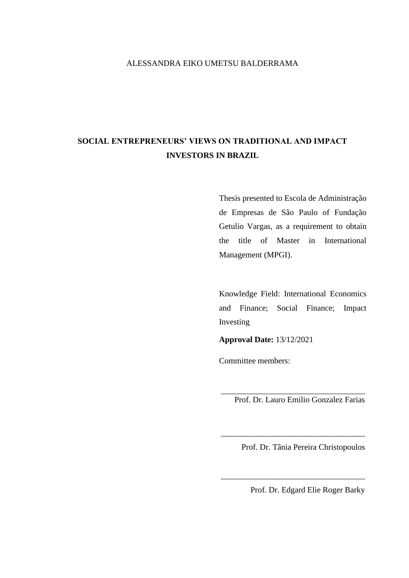# ALESSANDRA EIKO UMETSU BALDERRAMA

# **SOCIAL ENTREPRENEURS' VIEWS ON TRADITIONAL AND IMPACT INVESTORS IN BRAZIL**

Thesis presented to Escola de Administração de Empresas de São Paulo of Fundação Getulio Vargas, as a requirement to obtain the title of Master in International Management (MPGI).

Knowledge Field: International Economics and Finance; Social Finance; Impact Investing

**Approval Date:** 13/12/2021

Committee members:

Prof. Dr. Lauro Emilio Gonzalez Farias

\_\_\_\_\_\_\_\_\_\_\_\_\_\_\_\_\_\_\_\_\_\_\_\_\_\_\_\_\_\_\_\_\_\_\_

\_\_\_\_\_\_\_\_\_\_\_\_\_\_\_\_\_\_\_\_\_\_\_\_\_\_\_\_\_\_\_\_\_\_\_

\_\_\_\_\_\_\_\_\_\_\_\_\_\_\_\_\_\_\_\_\_\_\_\_\_\_\_\_\_\_\_\_\_\_\_

Prof. Dr. Tânia Pereira Christopoulos

Prof. Dr. Edgard Elie Roger Barky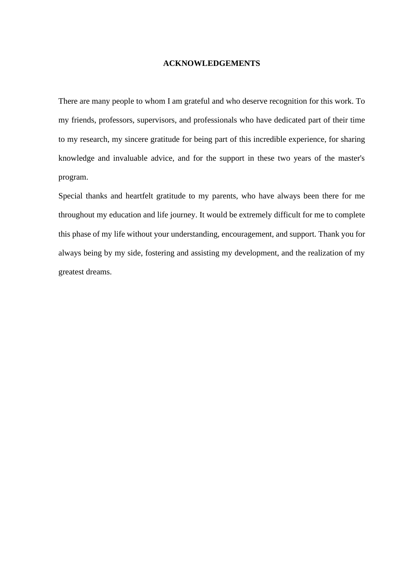#### **ACKNOWLEDGEMENTS**

There are many people to whom I am grateful and who deserve recognition for this work. To my friends, professors, supervisors, and professionals who have dedicated part of their time to my research, my sincere gratitude for being part of this incredible experience, for sharing knowledge and invaluable advice, and for the support in these two years of the master's program.

Special thanks and heartfelt gratitude to my parents, who have always been there for me throughout my education and life journey. It would be extremely difficult for me to complete this phase of my life without your understanding, encouragement, and support. Thank you for always being by my side, fostering and assisting my development, and the realization of my greatest dreams.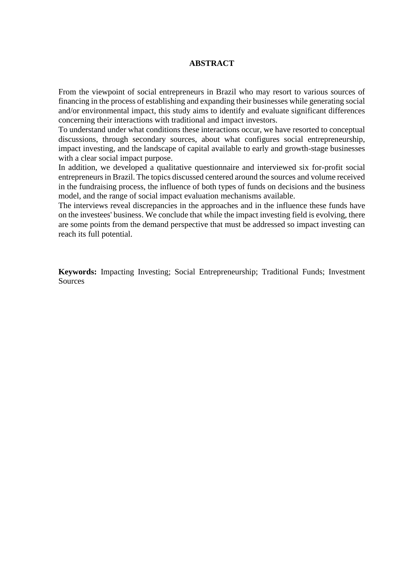## **ABSTRACT**

From the viewpoint of social entrepreneurs in Brazil who may resort to various sources of financing in the process of establishing and expanding their businesses while generating social and/or environmental impact, this study aims to identify and evaluate significant differences concerning their interactions with traditional and impact investors.

To understand under what conditions these interactions occur, we have resorted to conceptual discussions, through secondary sources, about what configures social entrepreneurship, impact investing, and the landscape of capital available to early and growth-stage businesses with a clear social impact purpose.

In addition, we developed a qualitative questionnaire and interviewed six for-profit social entrepreneurs in Brazil. The topics discussed centered around the sources and volume received in the fundraising process, the influence of both types of funds on decisions and the business model, and the range of social impact evaluation mechanisms available.

The interviews reveal discrepancies in the approaches and in the influence these funds have on the investees' business. We conclude that while the impact investing field is evolving, there are some points from the demand perspective that must be addressed so impact investing can reach its full potential.

**Keywords:** Impacting Investing; Social Entrepreneurship; Traditional Funds; Investment Sources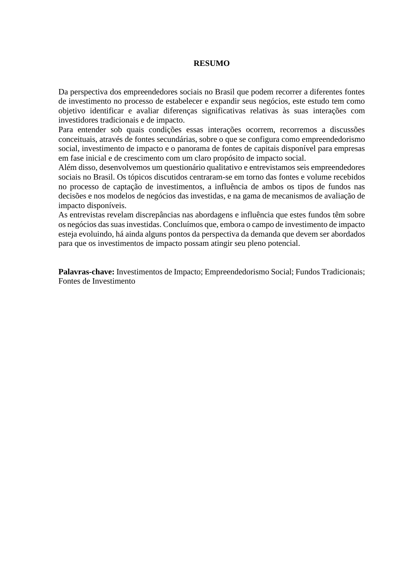## **RESUMO**

Da perspectiva dos empreendedores sociais no Brasil que podem recorrer a diferentes fontes de investimento no processo de estabelecer e expandir seus negócios, este estudo tem como objetivo identificar e avaliar diferenças significativas relativas às suas interações com investidores tradicionais e de impacto.

Para entender sob quais condições essas interações ocorrem, recorremos a discussões conceituais, através de fontes secundárias, sobre o que se configura como empreendedorismo social, investimento de impacto e o panorama de fontes de capitais disponível para empresas em fase inicial e de crescimento com um claro propósito de impacto social.

Além disso, desenvolvemos um questionário qualitativo e entrevistamos seis empreendedores sociais no Brasil. Os tópicos discutidos centraram-se em torno das fontes e volume recebidos no processo de captação de investimentos, a influência de ambos os tipos de fundos nas decisões e nos modelos de negócios das investidas, e na gama de mecanismos de avaliação de impacto disponíveis.

As entrevistas revelam discrepâncias nas abordagens e influência que estes fundos têm sobre os negócios das suas investidas. Concluímos que, embora o campo de investimento de impacto esteja evoluindo, há ainda alguns pontos da perspectiva da demanda que devem ser abordados para que os investimentos de impacto possam atingir seu pleno potencial.

**Palavras-chave:** Investimentos de Impacto; Empreendedorismo Social; Fundos Tradicionais; Fontes de Investimento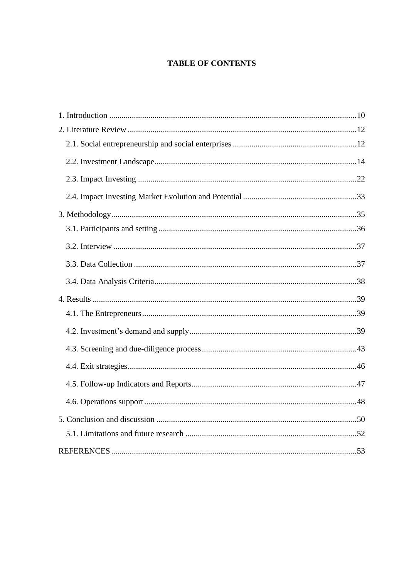# **TABLE OF CONTENTS**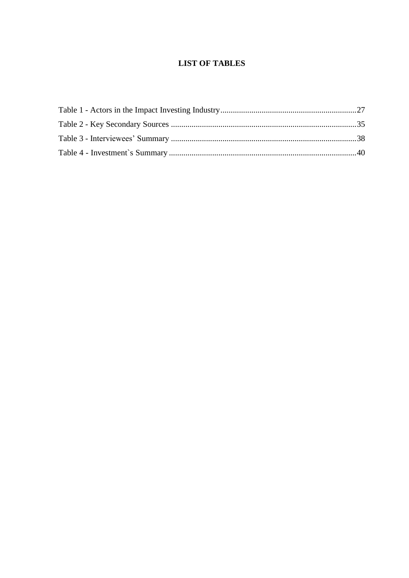# **LIST OF TABLES**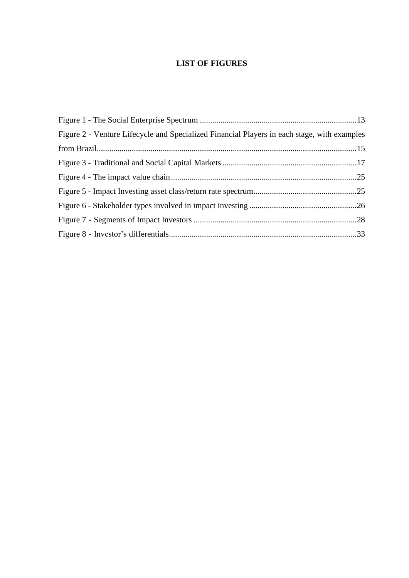# **LIST OF FIGURES**

| Figure 2 - Venture Lifecycle and Specialized Financial Players in each stage, with examples |  |
|---------------------------------------------------------------------------------------------|--|
|                                                                                             |  |
|                                                                                             |  |
|                                                                                             |  |
|                                                                                             |  |
|                                                                                             |  |
|                                                                                             |  |
|                                                                                             |  |
|                                                                                             |  |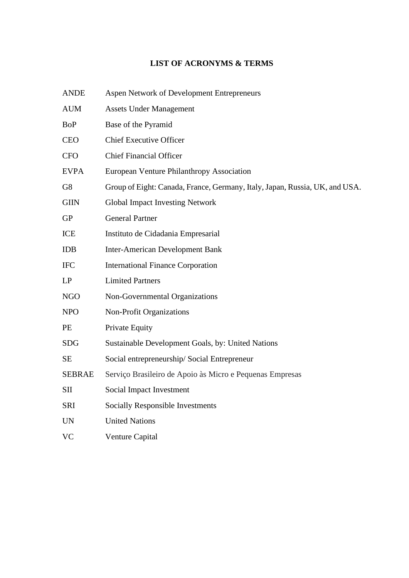# **LIST OF ACRONYMS & TERMS**

| ANDE |  | Aspen Network of Development Entrepreneurs |  |
|------|--|--------------------------------------------|--|
|------|--|--------------------------------------------|--|

- AUM Assets Under Management
- BoP Base of the Pyramid
- CEO Chief Executive Officer
- CFO Chief Financial Officer
- EVPA European Venture Philanthropy Association
- G8 Group of Eight: Canada, France, Germany, Italy, Japan, Russia, UK, and USA.
- GIIN Global Impact Investing Network
- GP General Partner
- ICE Instituto de Cidadania Empresarial
- IDB Inter-American Development Bank
- IFC International Finance Corporation
- LP Limited Partners
- NGO Non-Governmental Organizations
- NPO Non-Profit Organizations
- PE Private Equity
- SDG Sustainable Development Goals, by: United Nations
- SE Social entrepreneurship/ Social Entrepreneur
- SEBRAE Serviço Brasileiro de Apoio às Micro e Pequenas Empresas
- SII Social Impact Investment
- SRI Socially Responsible Investments
- UN United Nations
- VC Venture Capital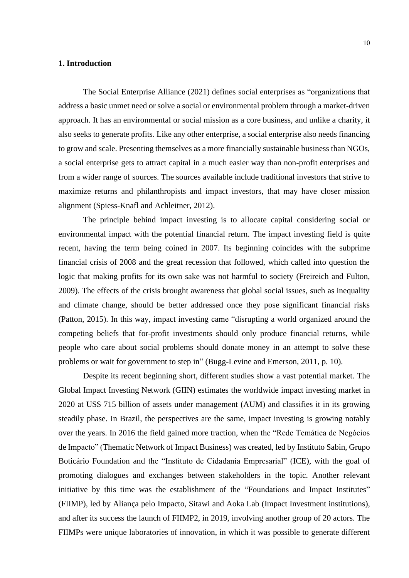## <span id="page-11-0"></span>**1. Introduction**

The Social Enterprise Alliance (2021) defines social enterprises as "organizations that address a basic unmet need or solve a social or environmental problem through a market-driven approach. It has an environmental or social mission as a core business, and unlike a charity, it also seeks to generate profits. Like any other enterprise, a social enterprise also needs financing to grow and scale. Presenting themselves as a more financially sustainable business than NGOs, a social enterprise gets to attract capital in a much easier way than non-profit enterprises and from a wider range of sources. The sources available include traditional investors that strive to maximize returns and philanthropists and impact investors, that may have closer mission alignment (Spiess-Knafl and Achleitner, 2012).

The principle behind impact investing is to allocate capital considering social or environmental impact with the potential financial return. The impact investing field is quite recent, having the term being coined in 2007. Its beginning coincides with the subprime financial crisis of 2008 and the great recession that followed, which called into question the logic that making profits for its own sake was not harmful to society (Freireich and Fulton, 2009). The effects of the crisis brought awareness that global social issues, such as inequality and climate change, should be better addressed once they pose significant financial risks (Patton, 2015). In this way, impact investing came "disrupting a world organized around the competing beliefs that for-profit investments should only produce financial returns, while people who care about social problems should donate money in an attempt to solve these problems or wait for government to step in" (Bugg-Levine and Emerson, 2011, p. 10).

Despite its recent beginning short, different studies show a vast potential market. The Global Impact Investing Network (GIIN) estimates the worldwide impact investing market in 2020 at US\$ 715 billion of assets under management (AUM) and classifies it in its growing steadily phase. In Brazil, the perspectives are the same, impact investing is growing notably over the years. In 2016 the field gained more traction, when the "Rede Temática de Negócios de Impacto" (Thematic Network of Impact Business) was created, led by Instituto Sabin, Grupo Boticário Foundation and the "Instituto de Cidadania Empresarial" (ICE), with the goal of promoting dialogues and exchanges between stakeholders in the topic. Another relevant initiative by this time was the establishment of the "Foundations and Impact Institutes" (FIIMP), led by Aliança pelo Impacto, Sitawi and Aoka Lab (Impact Investment institutions), and after its success the launch of FIIMP2, in 2019, involving another group of 20 actors. The FIIMPs were unique laboratories of innovation, in which it was possible to generate different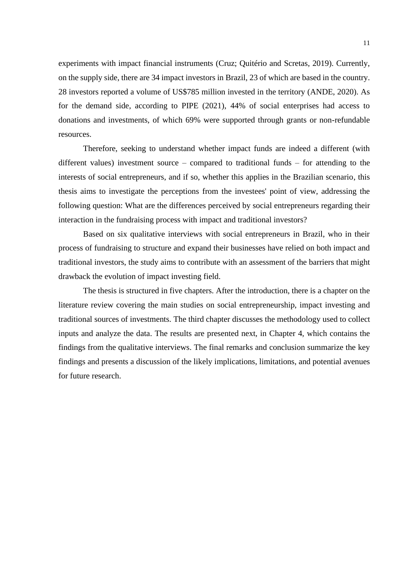experiments with impact financial instruments (Cruz; Quitério and Scretas, 2019). Currently, on the supply side, there are 34 impact investors in Brazil, 23 of which are based in the country. 28 investors reported a volume of US\$785 million invested in the territory (ANDE, 2020). As for the demand side, according to PIPE (2021), 44% of social enterprises had access to donations and investments, of which 69% were supported through grants or non-refundable resources.

Therefore, seeking to understand whether impact funds are indeed a different (with different values) investment source – compared to traditional funds – for attending to the interests of social entrepreneurs, and if so, whether this applies in the Brazilian scenario, this thesis aims to investigate the perceptions from the investees' point of view, addressing the following question: What are the differences perceived by social entrepreneurs regarding their interaction in the fundraising process with impact and traditional investors?

Based on six qualitative interviews with social entrepreneurs in Brazil, who in their process of fundraising to structure and expand their businesses have relied on both impact and traditional investors, the study aims to contribute with an assessment of the barriers that might drawback the evolution of impact investing field.

The thesis is structured in five chapters. After the introduction, there is a chapter on the literature review covering the main studies on social entrepreneurship, impact investing and traditional sources of investments. The third chapter discusses the methodology used to collect inputs and analyze the data. The results are presented next, in Chapter 4, which contains the findings from the qualitative interviews. The final remarks and conclusion summarize the key findings and presents a discussion of the likely implications, limitations, and potential avenues for future research.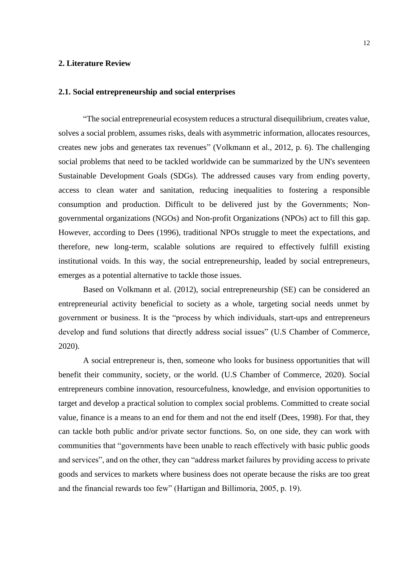### <span id="page-13-0"></span>**2. Literature Review**

### <span id="page-13-1"></span>**2.1. Social entrepreneurship and social enterprises**

"The social entrepreneurial ecosystem reduces a structural disequilibrium, creates value, solves a social problem, assumes risks, deals with asymmetric information, allocates resources, creates new jobs and generates tax revenues" (Volkmann et al., 2012, p. 6). The challenging social problems that need to be tackled worldwide can be summarized by the UN's seventeen Sustainable Development Goals (SDGs). The addressed causes vary from ending poverty, access to clean water and sanitation, reducing inequalities to fostering a responsible consumption and production. Difficult to be delivered just by the Governments; Nongovernmental organizations (NGOs) and Non-profit Organizations (NPOs) act to fill this gap. However, according to Dees (1996), traditional NPOs struggle to meet the expectations, and therefore, new long-term, scalable solutions are required to effectively fulfill existing institutional voids. In this way, the social entrepreneurship, leaded by social entrepreneurs, emerges as a potential alternative to tackle those issues.

Based on Volkmann et al. (2012), social entrepreneurship (SE) can be considered an entrepreneurial activity beneficial to society as a whole, targeting social needs unmet by government or business. It is the "process by which individuals, start-ups and entrepreneurs develop and fund solutions that directly address social issues" (U.S Chamber of Commerce, 2020).

A social entrepreneur is, then, someone who looks for business opportunities that will benefit their community, society, or the world. (U.S Chamber of Commerce, 2020). Social entrepreneurs combine innovation, resourcefulness, knowledge, and envision opportunities to target and develop a practical solution to complex social problems. Committed to create social value, finance is a means to an end for them and not the end itself (Dees, 1998). For that, they can tackle both public and/or private sector functions. So, on one side, they can work with communities that "governments have been unable to reach effectively with basic public goods and services", and on the other, they can "address market failures by providing access to private goods and services to markets where business does not operate because the risks are too great and the financial rewards too few" (Hartigan and Billimoria, 2005, p. 19).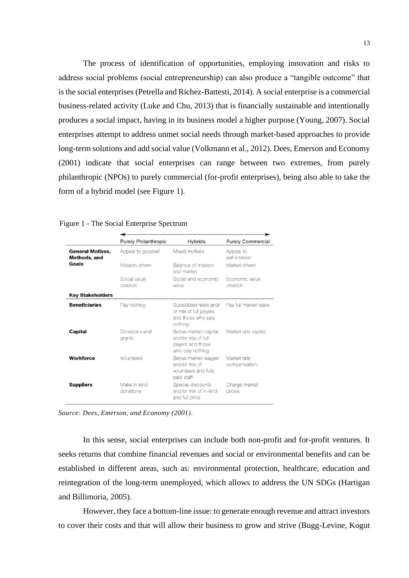The process of identification of opportunities, employing innovation and risks to address social problems (social entrepreneurship) can also produce a "tangible outcome" that is the social enterprises (Petrella and Richez-Battesti, 2014). A social enterprise is a commercial business-related activity (Luke and Chu, 2013) that is financially sustainable and intentionally produces a social impact, having in its business model a higher purpose (Young, 2007). Social enterprises attempt to address unmet social needs through market-based approaches to provide long-term solutions and add social value (Volkmann et al., 2012). Dees, Emerson and Economy (2001) indicate that social enterprises can range between two extremes, from purely philanthropic (NPOs) to purely commercial (for-profit enterprises), being also able to take the form of a hybrid model (see Figure 1).

|                                         | <b>Purely Philanthropic</b> | <b>Hybrids</b>                                                                    | <b>Purely Commercial</b>    |
|-----------------------------------------|-----------------------------|-----------------------------------------------------------------------------------|-----------------------------|
| <b>General Motives,</b><br>Methods, and | Appeal to goodwill          | Mixed motives                                                                     | Appeal to<br>self-interest  |
| Goals                                   | Mission-driven              | Balance of mission<br>and market                                                  | Market-driven               |
|                                         | Social value<br>creation    | Social and economic<br>value                                                      | Economic value<br>creation  |
| <b>Key Stakeholders</b>                 |                             |                                                                                   |                             |
| <b>Beneficiaries</b>                    | Pay nothing                 | Subsidized rates and/<br>or mix of full payers<br>and those who pay<br>nothing    | Pay full market rates       |
| Capital                                 | Donations and<br>grants     | Below-market capital<br>and/or mix of full<br>payers and those<br>who pay nothing | Market rate capital         |
| Workforce                               | Volunteers                  | Below-market wages<br>and/or mix of<br>volunteers and fully<br>paid staff         | Market rate<br>compensation |
| <b>Suppliers</b>                        | Make in-kind<br>donations   | Special discounts<br>and/or mix of in-kind<br>and full price                      | Charge market<br>prices     |

Figure 1 - The Social Enterprise Spectrum

*Source: Dees, Emerson, and Economy (2001).*

In this sense, social enterprises can include both non-profit and for-profit ventures. It seeks returns that combine financial revenues and social or environmental benefits and can be established in different areas, such as: environmental protection, healthcare, education and reintegration of the long-term unemployed, which allows to address the UN SDGs (Hartigan and Billimoria, 2005).

However, they face a bottom-line issue: to generate enough revenue and attract investors to cover their costs and that will allow their business to grow and strive (Bugg-Levine, Kogut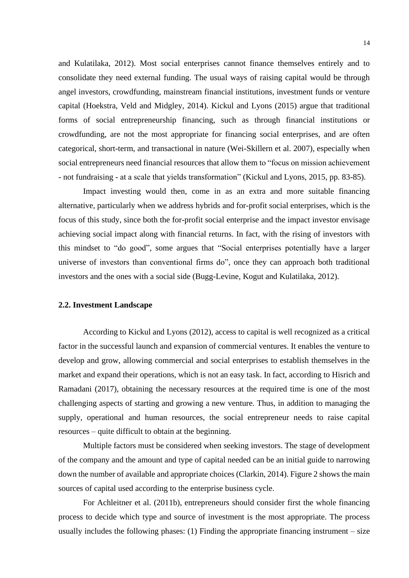and Kulatilaka, 2012). Most social enterprises cannot finance themselves entirely and to consolidate they need external funding. The usual ways of raising capital would be through angel investors, crowdfunding, mainstream financial institutions, investment funds or venture capital (Hoekstra, Veld and Midgley, 2014). Kickul and Lyons (2015) argue that traditional forms of social entrepreneurship financing, such as through financial institutions or crowdfunding, are not the most appropriate for financing social enterprises, and are often categorical, short-term, and transactional in nature (Wei-Skillern et al. 2007), especially when social entrepreneurs need financial resources that allow them to "focus on mission achievement - not fundraising - at a scale that yields transformation" (Kickul and Lyons, 2015, pp. 83-85).

Impact investing would then, come in as an extra and more suitable financing alternative, particularly when we address hybrids and for-profit social enterprises, which is the focus of this study, since both the for-profit social enterprise and the impact investor envisage achieving social impact along with financial returns. In fact, with the rising of investors with this mindset to "do good", some argues that "Social enterprises potentially have a larger universe of investors than conventional firms do", once they can approach both traditional investors and the ones with a social side (Bugg-Levine, Kogut and Kulatilaka, 2012).

## <span id="page-15-0"></span>**2.2. Investment Landscape**

According to Kickul and Lyons (2012), access to capital is well recognized as a critical factor in the successful launch and expansion of commercial ventures. It enables the venture to develop and grow, allowing commercial and social enterprises to establish themselves in the market and expand their operations, which is not an easy task. In fact, according to Hisrich and Ramadani (2017), obtaining the necessary resources at the required time is one of the most challenging aspects of starting and growing a new venture. Thus, in addition to managing the supply, operational and human resources, the social entrepreneur needs to raise capital resources – quite difficult to obtain at the beginning.

Multiple factors must be considered when seeking investors. The stage of development of the company and the amount and type of capital needed can be an initial guide to narrowing down the number of available and appropriate choices (Clarkin, 2014). Figure 2 shows the main sources of capital used according to the enterprise business cycle.

For Achleitner et al. (2011b), entrepreneurs should consider first the whole financing process to decide which type and source of investment is the most appropriate. The process usually includes the following phases: (1) Finding the appropriate financing instrument – size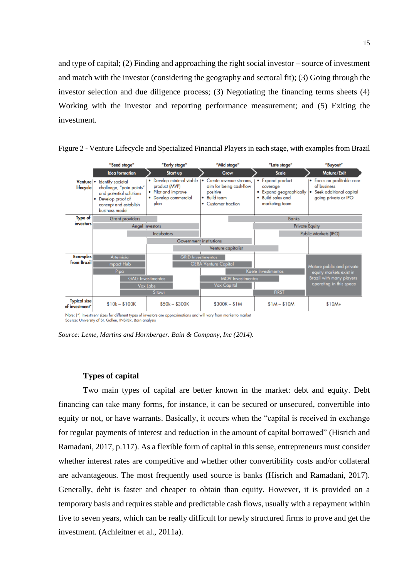and type of capital; (2) Finding and approaching the right social investor – source of investment and match with the investor (considering the geography and sectoral fit); (3) Going through the investor selection and due diligence process; (3) Negotiating the financing terms sheets (4) Working with the investor and reporting performance measurement; and (5) Exiting the investment.



<span id="page-16-0"></span>Figure 2 - Venture Lifecycle and Specialized Financial Players in each stage, with examples from Brazil

Note: (\*) Investment sizes for different types of investors are approximations and will vary from market to market Source: University of St. Gallen, INSPER, Bain analysis

*Source: Leme, Martins and Hornberger. Bain & Company, Inc (2014).*

### **Types of capital**

Two main types of capital are better known in the market: debt and equity. Debt financing can take many forms, for instance, it can be secured or unsecured, convertible into equity or not, or have warrants. Basically, it occurs when the "capital is received in exchange for regular payments of interest and reduction in the amount of capital borrowed" (Hisrich and Ramadani, 2017, p.117). As a flexible form of capital in this sense, entrepreneurs must consider whether interest rates are competitive and whether other convertibility costs and/or collateral are advantageous. The most frequently used source is banks (Hisrich and Ramadani, 2017). Generally, debt is faster and cheaper to obtain than equity. However, it is provided on a temporary basis and requires stable and predictable cash flows, usually with a repayment within five to seven years, which can be really difficult for newly structured firms to prove and get the investment. (Achleitner et al., 2011a).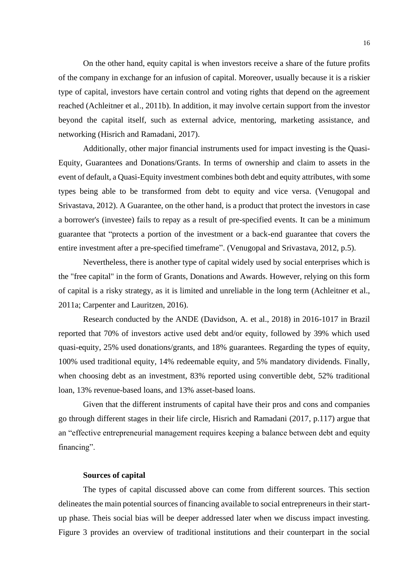On the other hand, equity capital is when investors receive a share of the future profits of the company in exchange for an infusion of capital. Moreover, usually because it is a riskier type of capital, investors have certain control and voting rights that depend on the agreement reached (Achleitner et al., 2011b). In addition, it may involve certain support from the investor beyond the capital itself, such as external advice, mentoring, marketing assistance, and networking (Hisrich and Ramadani, 2017).

Additionally, other major financial instruments used for impact investing is the Quasi-Equity, Guarantees and Donations/Grants. In terms of ownership and claim to assets in the event of default, a Quasi-Equity investment combines both debt and equity attributes, with some types being able to be transformed from debt to equity and vice versa. (Venugopal and Srivastava, 2012). A Guarantee, on the other hand, is a product that protect the investors in case a borrower's (investee) fails to repay as a result of pre-specified events. It can be a minimum guarantee that "protects a portion of the investment or a back-end guarantee that covers the entire investment after a pre-specified timeframe". (Venugopal and Srivastava, 2012, p.5).

Nevertheless, there is another type of capital widely used by social enterprises which is the "free capital" in the form of Grants, Donations and Awards. However, relying on this form of capital is a risky strategy, as it is limited and unreliable in the long term (Achleitner et al., 2011a; Carpenter and Lauritzen, 2016).

Research conducted by the ANDE (Davidson, A. et al., 2018) in 2016-1017 in Brazil reported that 70% of investors active used debt and/or equity, followed by 39% which used quasi-equity, 25% used donations/grants, and 18% guarantees. Regarding the types of equity, 100% used traditional equity, 14% redeemable equity, and 5% mandatory dividends. Finally, when choosing debt as an investment, 83% reported using convertible debt, 52% traditional loan, 13% revenue-based loans, and 13% asset-based loans.

Given that the different instruments of capital have their pros and cons and companies go through different stages in their life circle, Hisrich and Ramadani (2017, p.117) argue that an "effective entrepreneurial management requires keeping a balance between debt and equity financing".

#### **Sources of capital**

The types of capital discussed above can come from different sources. This section delineates the main potential sources of financing available to social entrepreneurs in their startup phase. Theis social bias will be deeper addressed later when we discuss impact investing. Figure 3 provides an overview of traditional institutions and their counterpart in the social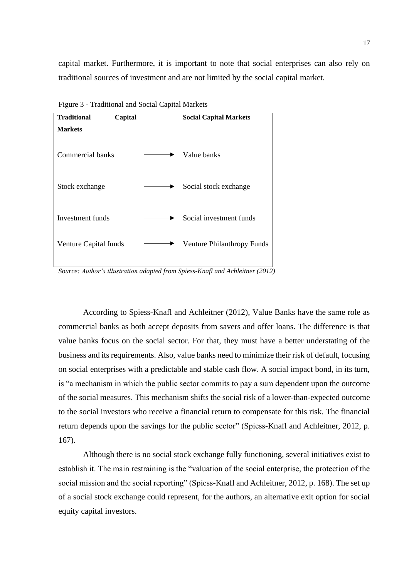capital market. Furthermore, it is important to note that social enterprises can also rely on traditional sources of investment and are not limited by the social capital market.



<span id="page-18-0"></span>Figure 3 - Traditional and Social Capital Markets

*Source: Author's illustration adapted from Spiess-Knafl and Achleitner (2012)*

According to Spiess-Knafl and Achleitner (2012), Value Banks have the same role as commercial banks as both accept deposits from savers and offer loans. The difference is that value banks focus on the social sector. For that, they must have a better understating of the business and its requirements. Also, value banks need to minimize their risk of default, focusing on social enterprises with a predictable and stable cash flow. A social impact bond, in its turn, is "a mechanism in which the public sector commits to pay a sum dependent upon the outcome of the social measures. This mechanism shifts the social risk of a lower-than-expected outcome to the social investors who receive a financial return to compensate for this risk. The financial return depends upon the savings for the public sector" (Spiess-Knafl and Achleitner, 2012, p. 167).

Although there is no social stock exchange fully functioning, several initiatives exist to establish it. The main restraining is the "valuation of the social enterprise, the protection of the social mission and the social reporting" (Spiess-Knafl and Achleitner, 2012, p. 168). The set up of a social stock exchange could represent, for the authors, an alternative exit option for social equity capital investors.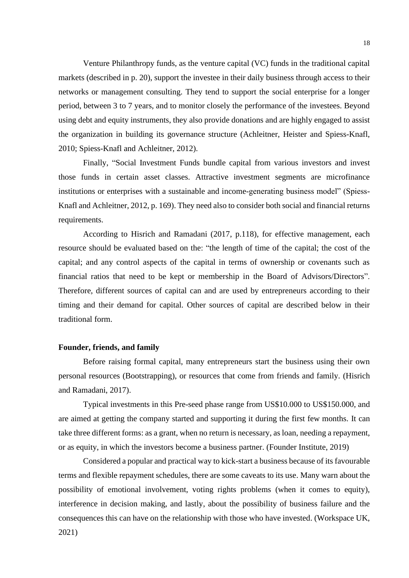Venture Philanthropy funds, as the venture capital (VC) funds in the traditional capital markets (described in p. 20), support the investee in their daily business through access to their networks or management consulting. They tend to support the social enterprise for a longer period, between 3 to 7 years, and to monitor closely the performance of the investees. Beyond using debt and equity instruments, they also provide donations and are highly engaged to assist the organization in building its governance structure (Achleitner, Heister and Spiess-Knafl, 2010; Spiess-Knafl and Achleitner, 2012).

Finally, "Social Investment Funds bundle capital from various investors and invest those funds in certain asset classes. Attractive investment segments are microfinance institutions or enterprises with a sustainable and income-generating business model" (Spiess-Knafl and Achleitner, 2012, p. 169). They need also to consider both social and financial returns requirements.

According to Hisrich and Ramadani (2017, p.118), for effective management, each resource should be evaluated based on the: "the length of time of the capital; the cost of the capital; and any control aspects of the capital in terms of ownership or covenants such as financial ratios that need to be kept or membership in the Board of Advisors/Directors". Therefore, different sources of capital can and are used by entrepreneurs according to their timing and their demand for capital. Other sources of capital are described below in their traditional form.

#### **Founder, friends, and family**

Before raising formal capital, many entrepreneurs start the business using their own personal resources (Bootstrapping), or resources that come from friends and family. (Hisrich and Ramadani, 2017).

Typical investments in this Pre-seed phase range from US\$10.000 to US\$150.000, and are aimed at getting the company started and supporting it during the first few months. It can take three different forms: as a grant, when no return is necessary, as loan, needing a repayment, or as equity, in which the investors become a business partner. (Founder Institute, 2019)

Considered a popular and practical way to kick-start a business because of its favourable terms and flexible repayment schedules, there are some caveats to its use. Many warn about the possibility of emotional involvement, voting rights problems (when it comes to equity), interference in decision making, and lastly, about the possibility of business failure and the consequences this can have on the relationship with those who have invested. (Workspace UK, 2021)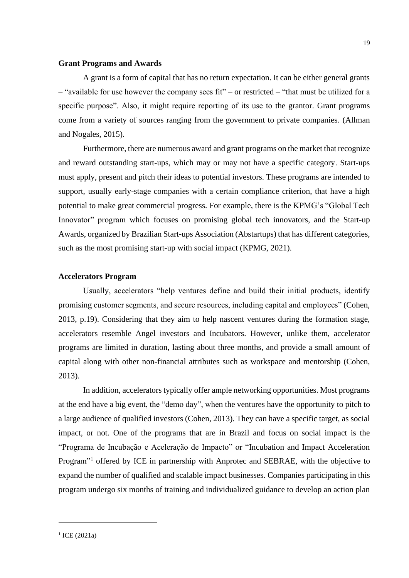### **Grant Programs and Awards**

A grant is a form of capital that has no return expectation. It can be either general grants – "available for use however the company sees fit" – or restricted – "that must be utilized for a specific purpose". Also, it might require reporting of its use to the grantor. Grant programs come from a variety of sources ranging from the government to private companies. (Allman and Nogales, 2015).

Furthermore, there are numerous award and grant programs on the market that recognize and reward outstanding start-ups, which may or may not have a specific category. Start-ups must apply, present and pitch their ideas to potential investors. These programs are intended to support, usually early-stage companies with a certain compliance criterion, that have a high potential to make great commercial progress. For example, there is the KPMG's "Global Tech Innovator" program which focuses on promising global tech innovators, and the Start-up Awards, organized by Brazilian Start-ups Association (Abstartups) that has different categories, such as the most promising start-up with social impact (KPMG, 2021).

## **Accelerators Program**

Usually, accelerators "help ventures define and build their initial products, identify promising customer segments, and secure resources, including capital and employees" (Cohen, 2013, p.19). Considering that they aim to help nascent ventures during the formation stage, accelerators resemble Angel investors and Incubators. However, unlike them, accelerator programs are limited in duration, lasting about three months, and provide a small amount of capital along with other non-financial attributes such as workspace and mentorship (Cohen, 2013).

In addition, accelerators typically offer ample networking opportunities. Most programs at the end have a big event, the "demo day", when the ventures have the opportunity to pitch to a large audience of qualified investors (Cohen, 2013). They can have a specific target, as social impact, or not. One of the programs that are in Brazil and focus on social impact is the "Programa de Incubação e Aceleração de Impacto" or "Incubation and Impact Acceleration Program"<sup>1</sup> offered by ICE in partnership with Anprotec and SEBRAE, with the objective to expand the number of qualified and scalable impact businesses. Companies participating in this program undergo six months of training and individualized guidance to develop an action plan

<sup>1</sup> ICE (2021a)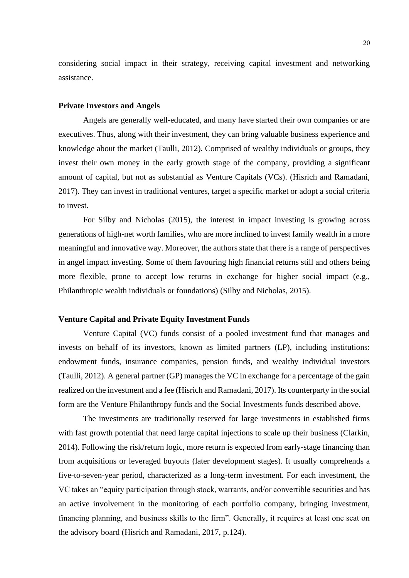considering social impact in their strategy, receiving capital investment and networking assistance.

#### **Private Investors and Angels**

Angels are generally well-educated, and many have started their own companies or are executives. Thus, along with their investment, they can bring valuable business experience and knowledge about the market (Taulli, 2012). Comprised of wealthy individuals or groups, they invest their own money in the early growth stage of the company, providing a significant amount of capital, but not as substantial as Venture Capitals (VCs). (Hisrich and Ramadani, 2017). They can invest in traditional ventures, target a specific market or adopt a social criteria to invest.

For Silby and Nicholas (2015), the interest in impact investing is growing across generations of high-net worth families, who are more inclined to invest family wealth in a more meaningful and innovative way. Moreover, the authors state that there is a range of perspectives in angel impact investing. Some of them favouring high financial returns still and others being more flexible, prone to accept low returns in exchange for higher social impact (e.g., Philanthropic wealth individuals or foundations) (Silby and Nicholas, 2015).

## **Venture Capital and Private Equity Investment Funds**

Venture Capital (VC) funds consist of a pooled investment fund that manages and invests on behalf of its investors, known as limited partners (LP), including institutions: endowment funds, insurance companies, pension funds, and wealthy individual investors (Taulli, 2012). A general partner (GP) manages the VC in exchange for a percentage of the gain realized on the investment and a fee (Hisrich and Ramadani, 2017). Its counterparty in the social form are the Venture Philanthropy funds and the Social Investments funds described above.

The investments are traditionally reserved for large investments in established firms with fast growth potential that need large capital injections to scale up their business (Clarkin, 2014). Following the risk/return logic, more return is expected from early-stage financing than from acquisitions or leveraged buyouts (later development stages). It usually comprehends a five-to-seven-year period, characterized as a long-term investment. For each investment, the VC takes an "equity participation through stock, warrants, and/or convertible securities and has an active involvement in the monitoring of each portfolio company, bringing investment, financing planning, and business skills to the firm". Generally, it requires at least one seat on the advisory board (Hisrich and Ramadani, 2017, p.124).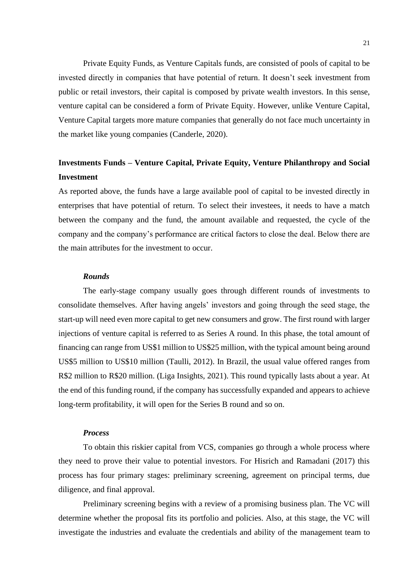Private Equity Funds, as Venture Capitals funds, are consisted of pools of capital to be invested directly in companies that have potential of return. It doesn't seek investment from public or retail investors, their capital is composed by private wealth investors. In this sense, venture capital can be considered a form of Private Equity. However, unlike Venture Capital, Venture Capital targets more mature companies that generally do not face much uncertainty in the market like young companies (Canderle, 2020).

# **Investments Funds – Venture Capital, Private Equity, Venture Philanthropy and Social Investment**

As reported above, the funds have a large available pool of capital to be invested directly in enterprises that have potential of return. To select their investees, it needs to have a match between the company and the fund, the amount available and requested, the cycle of the company and the company's performance are critical factors to close the deal. Below there are the main attributes for the investment to occur.

## *Rounds*

The early-stage company usually goes through different rounds of investments to consolidate themselves. After having angels' investors and going through the seed stage, the start-up will need even more capital to get new consumers and grow. The first round with larger injections of venture capital is referred to as Series A round. In this phase, the total amount of financing can range from US\$1 million to US\$25 million, with the typical amount being around US\$5 million to US\$10 million (Taulli, 2012). In Brazil, the usual value offered ranges from R\$2 million to R\$20 million. (Liga Insights, 2021). This round typically lasts about a year. At the end of this funding round, if the company has successfully expanded and appears to achieve long-term profitability, it will open for the Series B round and so on.

#### *Process*

To obtain this riskier capital from VCS, companies go through a whole process where they need to prove their value to potential investors. For Hisrich and Ramadani (2017) this process has four primary stages: preliminary screening, agreement on principal terms, due diligence, and final approval.

Preliminary screening begins with a review of a promising business plan. The VC will determine whether the proposal fits its portfolio and policies. Also, at this stage, the VC will investigate the industries and evaluate the credentials and ability of the management team to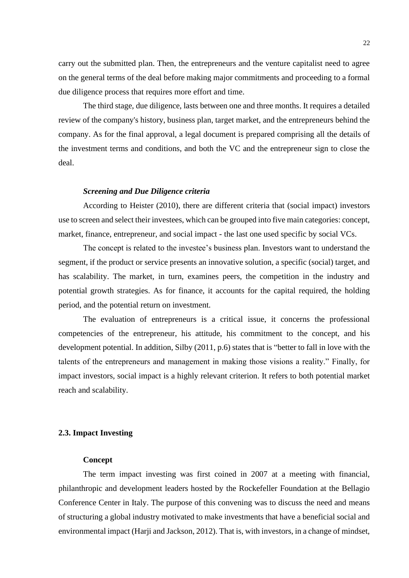carry out the submitted plan. Then, the entrepreneurs and the venture capitalist need to agree on the general terms of the deal before making major commitments and proceeding to a formal due diligence process that requires more effort and time.

The third stage, due diligence, lasts between one and three months. It requires a detailed review of the company's history, business plan, target market, and the entrepreneurs behind the company. As for the final approval, a legal document is prepared comprising all the details of the investment terms and conditions, and both the VC and the entrepreneur sign to close the deal.

## *Screening and Due Diligence criteria*

According to Heister (2010), there are different criteria that (social impact) investors use to screen and select their investees, which can be grouped into five main categories: concept, market, finance, entrepreneur, and social impact - the last one used specific by social VCs.

The concept is related to the investee's business plan. Investors want to understand the segment, if the product or service presents an innovative solution, a specific (social) target, and has scalability. The market, in turn, examines peers, the competition in the industry and potential growth strategies. As for finance, it accounts for the capital required, the holding period, and the potential return on investment.

The evaluation of entrepreneurs is a critical issue, it concerns the professional competencies of the entrepreneur, his attitude, his commitment to the concept, and his development potential. In addition, Silby (2011, p.6) states that is "better to fall in love with the talents of the entrepreneurs and management in making those visions a reality." Finally, for impact investors, social impact is a highly relevant criterion. It refers to both potential market reach and scalability.

## <span id="page-23-0"></span>**2.3. Impact Investing**

#### **Concept**

The term impact investing was first coined in 2007 at a meeting with financial, philanthropic and development leaders hosted by the Rockefeller Foundation at the Bellagio Conference Center in Italy. The purpose of this convening was to discuss the need and means of structuring a global industry motivated to make investments that have a beneficial social and environmental impact (Harji and Jackson, 2012). That is, with investors, in a change of mindset,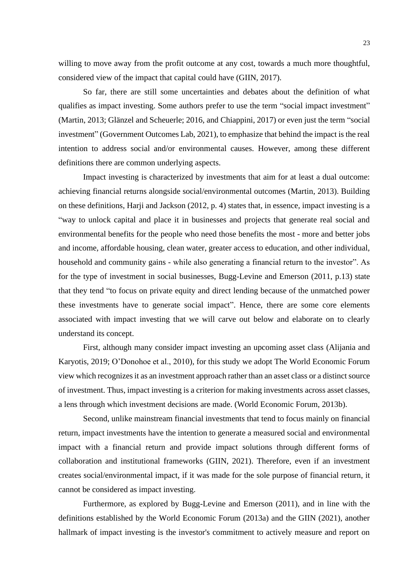willing to move away from the profit outcome at any cost, towards a much more thoughtful, considered view of the impact that capital could have (GIIN, 2017).

So far, there are still some uncertainties and debates about the definition of what qualifies as impact investing. Some authors prefer to use the term "social impact investment" (Martin, 2013; Glänzel and Scheuerle; 2016, and Chiappini, 2017) or even just the term "social investment" (Government Outcomes Lab, 2021), to emphasize that behind the impact is the real intention to address social and/or environmental causes. However, among these different definitions there are common underlying aspects.

Impact investing is characterized by investments that aim for at least a dual outcome: achieving financial returns alongside social/environmental outcomes (Martin, 2013). Building on these definitions, Harji and Jackson (2012, p. 4) states that, in essence, impact investing is a "way to unlock capital and place it in businesses and projects that generate real social and environmental benefits for the people who need those benefits the most - more and better jobs and income, affordable housing, clean water, greater access to education, and other individual, household and community gains - while also generating a financial return to the investor". As for the type of investment in social businesses, Bugg-Levine and Emerson (2011, p.13) state that they tend "to focus on private equity and direct lending because of the unmatched power these investments have to generate social impact". Hence, there are some core elements associated with impact investing that we will carve out below and elaborate on to clearly understand its concept.

First, although many consider impact investing an upcoming asset class (Alijania and Karyotis, 2019; O'Donohoe et al., 2010), for this study we adopt The World Economic Forum view which recognizes it as an investment approach rather than an asset class or a distinct source of investment. Thus, impact investing is a criterion for making investments across asset classes, a lens through which investment decisions are made. (World Economic Forum, 2013b).

Second, unlike mainstream financial investments that tend to focus mainly on financial return, impact investments have the intention to generate a measured social and environmental impact with a financial return and provide impact solutions through different forms of collaboration and institutional frameworks (GIIN, 2021). Therefore, even if an investment creates social/environmental impact, if it was made for the sole purpose of financial return, it cannot be considered as impact investing.

Furthermore, as explored by Bugg-Levine and Emerson (2011), and in line with the definitions established by the World Economic Forum (2013a) and the GIIN (2021), another hallmark of impact investing is the investor's commitment to actively measure and report on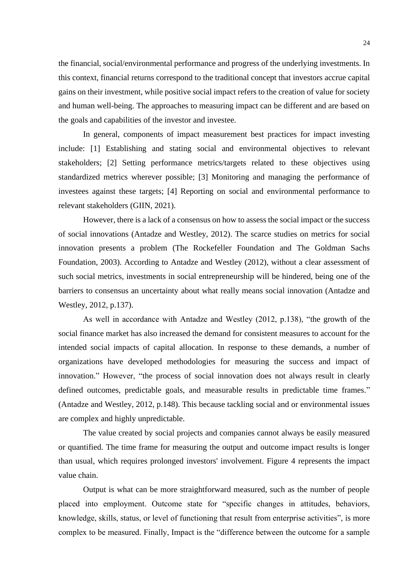the financial, social/environmental performance and progress of the underlying investments. In this context, financial returns correspond to the traditional concept that investors accrue capital gains on their investment, while positive social impact refers to the creation of value for society and human well-being. The approaches to measuring impact can be different and are based on the goals and capabilities of the investor and investee.

In general, components of impact measurement best practices for impact investing include: [1] Establishing and stating social and environmental objectives to relevant stakeholders; [2] Setting performance metrics/targets related to these objectives using standardized metrics wherever possible; [3] Monitoring and managing the performance of investees against these targets; [4] Reporting on social and environmental performance to relevant stakeholders (GIIN, 2021).

However, there is a lack of a consensus on how to assess the social impact or the success of social innovations (Antadze and Westley, 2012). The scarce studies on metrics for social innovation presents a problem (The Rockefeller Foundation and The Goldman Sachs Foundation, 2003). According to Antadze and Westley (2012), without a clear assessment of such social metrics, investments in social entrepreneurship will be hindered, being one of the barriers to consensus an uncertainty about what really means social innovation (Antadze and Westley, 2012, p.137).

As well in accordance with Antadze and Westley (2012, p.138), "the growth of the social finance market has also increased the demand for consistent measures to account for the intended social impacts of capital allocation. In response to these demands, a number of organizations have developed methodologies for measuring the success and impact of innovation." However, "the process of social innovation does not always result in clearly defined outcomes, predictable goals, and measurable results in predictable time frames." (Antadze and Westley, 2012, p.148). This because tackling social and or environmental issues are complex and highly unpredictable.

The value created by social projects and companies cannot always be easily measured or quantified. The time frame for measuring the output and outcome impact results is longer than usual, which requires prolonged investors' involvement. Figure 4 represents the impact value chain.

Output is what can be more straightforward measured, such as the number of people placed into employment. Outcome state for "specific changes in attitudes, behaviors, knowledge, skills, status, or level of functioning that result from enterprise activities", is more complex to be measured. Finally, Impact is the "difference between the outcome for a sample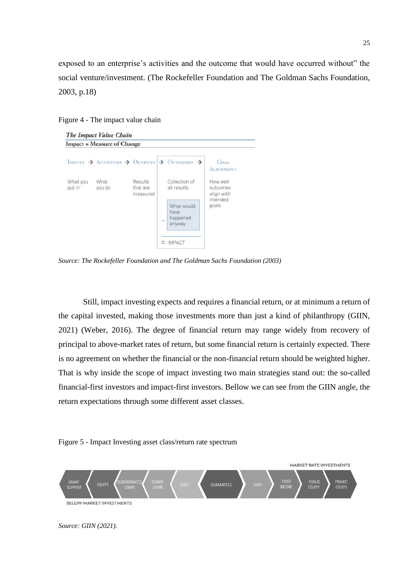exposed to an enterprise's activities and the outcome that would have occurred without" the social venture/investment. (The Rockefeller Foundation and The Goldman Sachs Foundation, 2003, p.18)

<span id="page-26-0"></span>Figure 4 - The impact value chain

|                    | <b>Impact = Measure of Change</b>                 |  |                                                                                            |                                    |
|--------------------|---------------------------------------------------|--|--------------------------------------------------------------------------------------------|------------------------------------|
|                    |                                                   |  | INPUTS $\rightarrow$ ACTIVITIES $\rightarrow$ OUTPUTS $\rightarrow$ OUTCOMES $\rightarrow$ | <b>GOAL</b><br><b>ALIGNMENT</b>    |
| What you<br>put in | Results<br>What<br>you do<br>that are<br>measured |  | Collection of<br>all results                                                               | How well<br>outcomes<br>align with |
|                    |                                                   |  | What would<br>have<br>happened<br>三<br>anyway                                              | intended<br>goals                  |
|                    |                                                   |  | <b>IMPACT</b>                                                                              |                                    |

*Source: The Rockefeller Foundation and The Goldman Sachs Foundation (2003)*

Still, impact investing expects and requires a financial return, or at minimum a return of the capital invested, making those investments more than just a kind of philanthropy (GIIN, 2021) (Weber, 2016). The degree of financial return may range widely from recovery of principal to above-market rates of return, but some financial return is certainly expected. There is no agreement on whether the financial or the non-financial return should be weighted higher. That is why inside the scope of impact investing two main strategies stand out: the so-called financial-first investors and impact-first investors. Bellow we can see from the GIIN angle, the return expectations through some different asset classes.



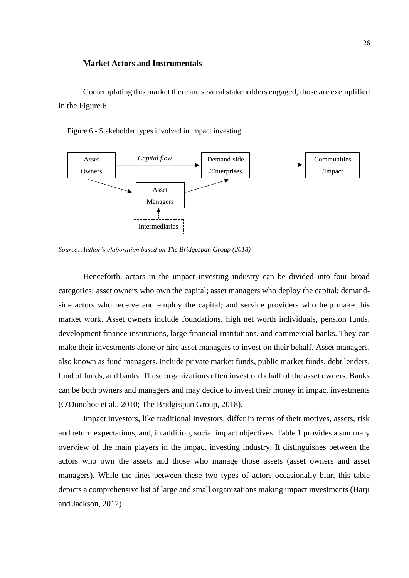#### **Market Actors and Instrumentals**

Contemplating this market there are several stakeholders engaged, those are exemplified in the Figure 6.

Figure 6 - Stakeholder types involved in impact investing



*Source: Author's elaboration based on The Bridgespan Group (2018)*

Henceforth, actors in the impact investing industry can be divided into four broad categories: asset owners who own the capital; asset managers who deploy the capital; demandside actors who receive and employ the capital; and service providers who help make this market work. Asset owners include foundations, high net worth individuals, pension funds, development finance institutions, large financial institutions, and commercial banks. They can make their investments alone or hire asset managers to invest on their behalf. Asset managers, also known as fund managers, include private market funds, public market funds, debt lenders, fund of funds, and banks. These organizations often invest on behalf of the asset owners. Banks can be both owners and managers and may decide to invest their money in impact investments (O'Donohoe et al., 2010; The Bridgespan Group, 2018).

Impact investors, like traditional investors, differ in terms of their motives, assets, risk and return expectations, and, in addition, social impact objectives. Table 1 provides a summary overview of the main players in the impact investing industry. It distinguishes between the actors who own the assets and those who manage those assets (asset owners and asset managers). While the lines between these two types of actors occasionally blur, this table depicts a comprehensive list of large and small organizations making impact investments (Harji and Jackson, 2012).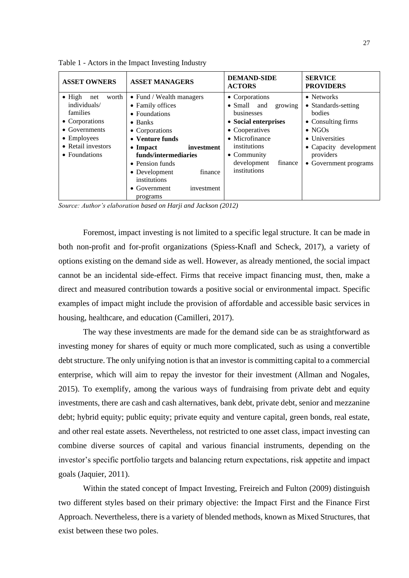| <b>ASSET OWNERS</b>                                                                                                                                      | <b>ASSET MANAGERS</b>                                                                                                                                                                                                                                                                            | <b>DEMAND-SIDE</b><br><b>ACTORS</b>                                                                                                                                                                         | <b>SERVICE</b><br><b>PROVIDERS</b>                                                                                                                                            |
|----------------------------------------------------------------------------------------------------------------------------------------------------------|--------------------------------------------------------------------------------------------------------------------------------------------------------------------------------------------------------------------------------------------------------------------------------------------------|-------------------------------------------------------------------------------------------------------------------------------------------------------------------------------------------------------------|-------------------------------------------------------------------------------------------------------------------------------------------------------------------------------|
| $\bullet$ High net<br>worth<br>individuals/<br>families<br>• Corporations<br>$\bullet$ Governments<br>• Employees<br>• Retail investors<br>• Foundations | • Fund / Wealth managers<br>• Family offices<br>• Foundations<br>$\bullet$ Banks<br>• Corporations<br>• Venture funds<br>investment<br>$\bullet$ Impact<br>funds/intermediaries<br>• Pension funds<br>finance<br>• Development<br>institutions<br>$\bullet$ Government<br>investment<br>programs | • Corporations<br>• Small and<br>growing<br>businesses<br>• Social enterprises<br>• Cooperatives<br>$\bullet$ Microfinance<br>institutions<br>$\bullet$ Community<br>development<br>finance<br>institutions | $\bullet$ Networks<br>• Standards-setting<br>bodies<br>• Consulting firms<br>$\bullet$ NGOs<br>• Universities<br>• Capacity development<br>providers<br>• Government programs |

<span id="page-28-0"></span>Table 1 - Actors in the Impact Investing Industry

*Source: Author's elaboration based on Harji and Jackson (2012)*

Foremost, impact investing is not limited to a specific legal structure. It can be made in both non-profit and for-profit organizations (Spiess-Knafl and Scheck, 2017), a variety of options existing on the demand side as well. However, as already mentioned, the social impact cannot be an incidental side-effect. Firms that receive impact financing must, then, make a direct and measured contribution towards a positive social or environmental impact. Specific examples of impact might include the provision of affordable and accessible basic services in housing, healthcare, and education (Camilleri, 2017).

The way these investments are made for the demand side can be as straightforward as investing money for shares of equity or much more complicated, such as using a convertible debt structure. The only unifying notion is that an investor is committing capital to a commercial enterprise, which will aim to repay the investor for their investment (Allman and Nogales, 2015). To exemplify, among the various ways of fundraising from private debt and equity investments, there are cash and cash alternatives, bank debt, private debt, senior and mezzanine debt; hybrid equity; public equity; private equity and venture capital, green bonds, real estate, and other real estate assets. Nevertheless, not restricted to one asset class, impact investing can combine diverse sources of capital and various financial instruments, depending on the investor's specific portfolio targets and balancing return expectations, risk appetite and impact goals (Jaquier, 2011).

Within the stated concept of Impact Investing, Freireich and Fulton (2009) distinguish two different styles based on their primary objective: the Impact First and the Finance First Approach. Nevertheless, there is a variety of blended methods, known as Mixed Structures, that exist between these two poles.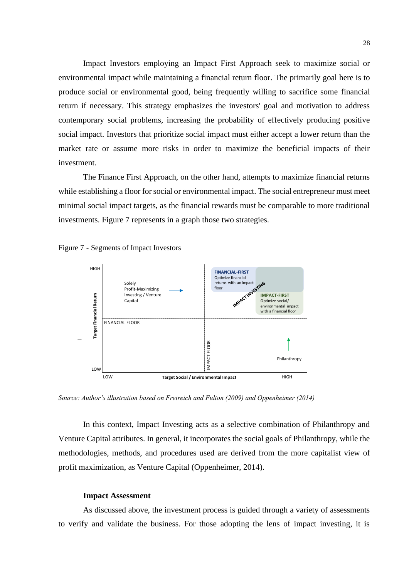Impact Investors employing an Impact First Approach seek to maximize social or environmental impact while maintaining a financial return floor. The primarily goal here is to produce social or environmental good, being frequently willing to sacrifice some financial return if necessary. This strategy emphasizes the investors' goal and motivation to address contemporary social problems, increasing the probability of effectively producing positive social impact. Investors that prioritize social impact must either accept a lower return than the market rate or assume more risks in order to maximize the beneficial impacts of their investment.

The Finance First Approach, on the other hand, attempts to maximize financial returns while establishing a floor for social or environmental impact. The social entrepreneur must meet minimal social impact targets, as the financial rewards must be comparable to more traditional investments. Figure 7 represents in a graph those two strategies.

<span id="page-29-0"></span>



*Source: Author's illustration based on Freireich and Fulton (2009) and Oppenheimer (2014)*

In this context, Impact Investing acts as a selective combination of Philanthropy and Venture Capital attributes. In general, it incorporates the social goals of Philanthropy, while the methodologies, methods, and procedures used are derived from the more capitalist view of profit maximization, as Venture Capital (Oppenheimer, 2014).

#### **Impact Assessment**

As discussed above, the investment process is guided through a variety of assessments to verify and validate the business. For those adopting the lens of impact investing, it is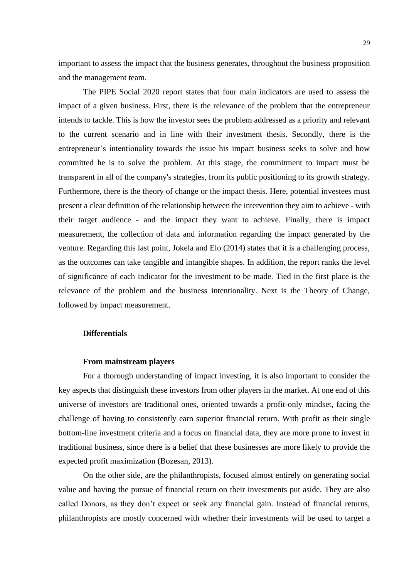important to assess the impact that the business generates, throughout the business proposition and the management team.

The PIPE Social 2020 report states that four main indicators are used to assess the impact of a given business. First, there is the relevance of the problem that the entrepreneur intends to tackle. This is how the investor sees the problem addressed as a priority and relevant to the current scenario and in line with their investment thesis. Secondly, there is the entrepreneur's intentionality towards the issue his impact business seeks to solve and how committed he is to solve the problem. At this stage, the commitment to impact must be transparent in all of the company's strategies, from its public positioning to its growth strategy. Furthermore, there is the theory of change or the impact thesis. Here, potential investees must present a clear definition of the relationship between the intervention they aim to achieve - with their target audience - and the impact they want to achieve. Finally, there is impact measurement, the collection of data and information regarding the impact generated by the venture. Regarding this last point, Jokela and Elo (2014) states that it is a challenging process, as the outcomes can take tangible and intangible shapes. In addition, the report ranks the level of significance of each indicator for the investment to be made. Tied in the first place is the relevance of the problem and the business intentionality. Next is the Theory of Change, followed by impact measurement.

#### **Differentials**

#### **From mainstream players**

For a thorough understanding of impact investing, it is also important to consider the key aspects that distinguish these investors from other players in the market. At one end of this universe of investors are traditional ones, oriented towards a profit-only mindset, facing the challenge of having to consistently earn superior financial return. With profit as their single bottom-line investment criteria and a focus on financial data, they are more prone to invest in traditional business, since there is a belief that these businesses are more likely to provide the expected profit maximization (Bozesan, 2013).

On the other side, are the philanthropists, focused almost entirely on generating social value and having the pursue of financial return on their investments put aside. They are also called Donors, as they don't expect or seek any financial gain. Instead of financial returns, philanthropists are mostly concerned with whether their investments will be used to target a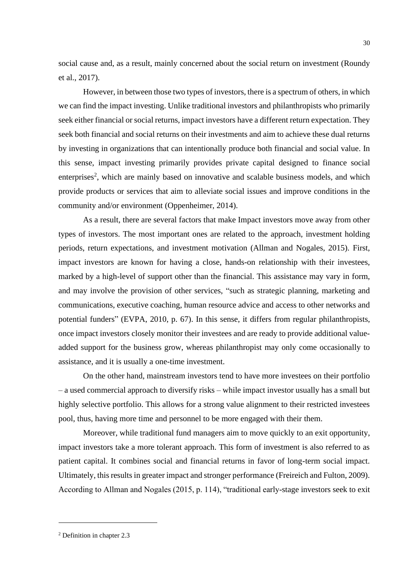social cause and, as a result, mainly concerned about the social return on investment (Roundy et al., 2017).

However, in between those two types of investors, there is a spectrum of others, in which we can find the impact investing. Unlike traditional investors and philanthropists who primarily seek either financial or social returns, impact investors have a different return expectation. They seek both financial and social returns on their investments and aim to achieve these dual returns by investing in organizations that can intentionally produce both financial and social value. In this sense, impact investing primarily provides private capital designed to finance social enterprises<sup>2</sup>, which are mainly based on innovative and scalable business models, and which provide products or services that aim to alleviate social issues and improve conditions in the community and/or environment (Oppenheimer, 2014).

As a result, there are several factors that make Impact investors move away from other types of investors. The most important ones are related to the approach, investment holding periods, return expectations, and investment motivation (Allman and Nogales, 2015). First, impact investors are known for having a close, hands-on relationship with their investees, marked by a high-level of support other than the financial. This assistance may vary in form, and may involve the provision of other services, "such as strategic planning, marketing and communications, executive coaching, human resource advice and access to other networks and potential funders" (EVPA, 2010, p. 67). In this sense, it differs from regular philanthropists, once impact investors closely monitor their investees and are ready to provide additional valueadded support for the business grow, whereas philanthropist may only come occasionally to assistance, and it is usually a one-time investment.

On the other hand, mainstream investors tend to have more investees on their portfolio – a used commercial approach to diversify risks – while impact investor usually has a small but highly selective portfolio. This allows for a strong value alignment to their restricted investees pool, thus, having more time and personnel to be more engaged with their them.

Moreover, while traditional fund managers aim to move quickly to an exit opportunity, impact investors take a more tolerant approach. This form of investment is also referred to as patient capital. It combines social and financial returns in favor of long-term social impact. Ultimately, this results in greater impact and stronger performance (Freireich and Fulton, 2009). According to Allman and Nogales (2015, p. 114), "traditional early-stage investors seek to exit

<sup>30</sup>

<sup>2</sup> Definition in chapter 2.3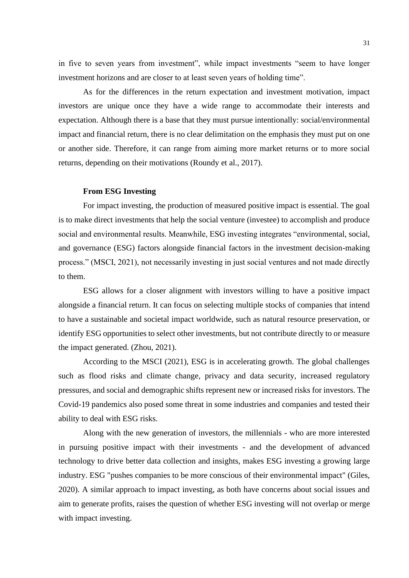in five to seven years from investment", while impact investments "seem to have longer investment horizons and are closer to at least seven years of holding time".

As for the differences in the return expectation and investment motivation, impact investors are unique once they have a wide range to accommodate their interests and expectation. Although there is a base that they must pursue intentionally: social/environmental impact and financial return, there is no clear delimitation on the emphasis they must put on one or another side. Therefore, it can range from aiming more market returns or to more social returns, depending on their motivations (Roundy et al., 2017).

## **From ESG Investing**

For impact investing, the production of measured positive impact is essential. The goal is to make direct investments that help the social venture (investee) to accomplish and produce social and environmental results. Meanwhile, ESG investing integrates "environmental, social, and governance (ESG) factors alongside financial factors in the investment decision-making process." (MSCI, 2021), not necessarily investing in just social ventures and not made directly to them.

ESG allows for a closer alignment with investors willing to have a positive impact alongside a financial return. It can focus on selecting multiple stocks of companies that intend to have a sustainable and societal impact worldwide, such as natural resource preservation, or identify ESG opportunities to select other investments, but not contribute directly to or measure the impact generated. (Zhou, 2021).

According to the MSCI (2021), ESG is in accelerating growth. The global challenges such as flood risks and climate change, privacy and data security, increased regulatory pressures, and social and demographic shifts represent new or increased risks for investors. The Covid-19 pandemics also posed some threat in some industries and companies and tested their ability to deal with ESG risks.

Along with the new generation of investors, the millennials - who are more interested in pursuing positive impact with their investments - and the development of advanced technology to drive better data collection and insights, makes ESG investing a growing large industry. ESG "pushes companies to be more conscious of their environmental impact" (Giles, 2020). A similar approach to impact investing, as both have concerns about social issues and aim to generate profits, raises the question of whether ESG investing will not overlap or merge with impact investing.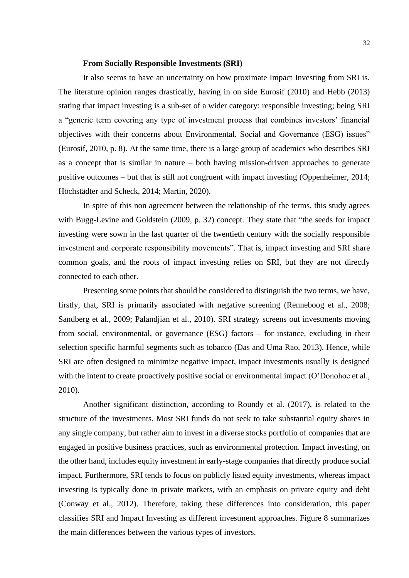#### **From Socially Responsible Investments (SRI)**

It also seems to have an uncertainty on how proximate Impact Investing from SRI is. The literature opinion ranges drastically, having in on side Eurosif (2010) and Hebb (2013) stating that impact investing is a sub-set of a wider category: responsible investing; being SRI a "generic term covering any type of investment process that combines investors' financial objectives with their concerns about Environmental, Social and Governance (ESG) issues" (Eurosif, 2010, p. 8). At the same time, there is a large group of academics who describes SRI as a concept that is similar in nature – both having mission-driven approaches to generate positive outcomes – but that is still not congruent with impact investing (Oppenheimer, 2014; Höchstädter and Scheck, 2014; Martin, 2020).

In spite of this non agreement between the relationship of the terms, this study agrees with Bugg-Levine and Goldstein (2009, p. 32) concept. They state that "the seeds for impact investing were sown in the last quarter of the twentieth century with the socially responsible investment and corporate responsibility movements". That is, impact investing and SRI share common goals, and the roots of impact investing relies on SRI, but they are not directly connected to each other.

Presenting some points that should be considered to distinguish the two terms, we have, firstly, that, SRI is primarily associated with negative screening (Renneboog et al., 2008; Sandberg et al., 2009; Palandjian et al., 2010). SRI strategy screens out investments moving from social, environmental, or governance (ESG) factors – for instance, excluding in their selection specific harmful segments such as tobacco (Das and Uma Rao, 2013). Hence, while SRI are often designed to minimize negative impact, impact investments usually is designed with the intent to create proactively positive social or environmental impact (O'Donohoe et al., 2010).

Another significant distinction, according to Roundy et al. (2017), is related to the structure of the investments. Most SRI funds do not seek to take substantial equity shares in any single company, but rather aim to invest in a diverse stocks portfolio of companies that are engaged in positive business practices, such as environmental protection. Impact investing, on the other hand, includes equity investment in early-stage companies that directly produce social impact. Furthermore, SRI tends to focus on publicly listed equity investments, whereas impact investing is typically done in private markets, with an emphasis on private equity and debt (Conway et al., 2012). Therefore, taking these differences into consideration, this paper classifies SRI and Impact Investing as different investment approaches. Figure 8 summarizes the main differences between the various types of investors.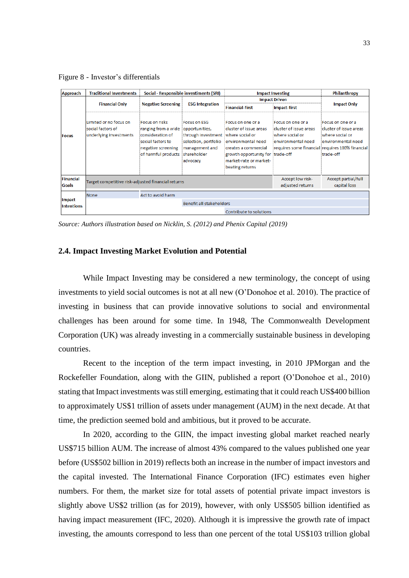<span id="page-34-1"></span>Figure 8 - Investor's differentials

| <b>Approach</b>                    | <b>Traditional Investments</b>                                        |                                                                                                                                                   | Social - Responsible investiments (SRI)                                                                                        |                                                                                                                                                                            | <b>Impact Investing</b>                                                              |                                                                                                                                                      |
|------------------------------------|-----------------------------------------------------------------------|---------------------------------------------------------------------------------------------------------------------------------------------------|--------------------------------------------------------------------------------------------------------------------------------|----------------------------------------------------------------------------------------------------------------------------------------------------------------------------|--------------------------------------------------------------------------------------|------------------------------------------------------------------------------------------------------------------------------------------------------|
|                                    |                                                                       |                                                                                                                                                   |                                                                                                                                | <b>Impact Driven</b>                                                                                                                                                       |                                                                                      |                                                                                                                                                      |
|                                    | <b>Financial Only</b>                                                 | <b>Negative Screening</b>                                                                                                                         | <b>ESG Integration</b>                                                                                                         | <b>Financial-first</b>                                                                                                                                                     | <b>Impact-first</b>                                                                  | <b>Impact Only</b>                                                                                                                                   |
| <b>Focus</b>                       | Limited or no focus on<br>social factors of<br>underlying investments | <b>Focus on risks</b><br>ranging from a wide opportunities,<br>consideration of<br>social factors to<br>negative screening<br>of harmful products | <b>Focus on ESG</b><br>through investment where social or<br>selection, portfolio<br>management and<br>shareholder<br>advocacy | Focus on one or a<br>cluster of issue areas<br>environmental need<br>creates a commercial<br>growth opportunity for trade-off<br>market-rate or market-<br>beating returns | Focus on one or a<br>cluster of issue areas<br>where social or<br>environmental need | Focus on one or a<br>cluster of issue areas<br>where social or<br>environmental need<br>requires some financial requires 100% financial<br>trade-off |
| <b>Financial</b><br><b>Goals</b>   | Target competitive risk-adjusted financial returns                    |                                                                                                                                                   |                                                                                                                                |                                                                                                                                                                            | Accept low risk-<br>adjusted returns                                                 | Accept partial/full<br>capital loss                                                                                                                  |
|                                    | <b>None</b>                                                           | Act to avoid harm                                                                                                                                 |                                                                                                                                |                                                                                                                                                                            |                                                                                      |                                                                                                                                                      |
| <b>Impact</b><br><b>Intentions</b> |                                                                       |                                                                                                                                                   | Benefit all stakeholders                                                                                                       |                                                                                                                                                                            |                                                                                      |                                                                                                                                                      |
|                                    |                                                                       |                                                                                                                                                   |                                                                                                                                | Contribute to solutions                                                                                                                                                    |                                                                                      |                                                                                                                                                      |

*Source: Authors illustration based on Nicklin, S. (2012) and Phenix Capital (2019)*

#### <span id="page-34-0"></span>**2.4. Impact Investing Market Evolution and Potential**

While Impact Investing may be considered a new terminology, the concept of using investments to yield social outcomes is not at all new (O'Donohoe et al. 2010). The practice of investing in business that can provide innovative solutions to social and environmental challenges has been around for some time. In 1948, The Commonwealth Development Corporation (UK) was already investing in a commercially sustainable business in developing countries.

Recent to the inception of the term impact investing, in 2010 JPMorgan and the Rockefeller Foundation, along with the GIIN, published a report (O'Donohoe et al., 2010) stating that Impact investments was still emerging, estimating that it could reach US\$400 billion to approximately US\$1 trillion of assets under management (AUM) in the next decade. At that time, the prediction seemed bold and ambitious, but it proved to be accurate.

In 2020, according to the GIIN, the impact investing global market reached nearly US\$715 billion AUM. The increase of almost 43% compared to the values published one year before (US\$502 billion in 2019) reflects both an increase in the number of impact investors and the capital invested. The International Finance Corporation (IFC) estimates even higher numbers. For them, the market size for total assets of potential private impact investors is slightly above US\$2 trillion (as for 2019), however, with only US\$505 billion identified as having impact measurement (IFC, 2020). Although it is impressive the growth rate of impact investing, the amounts correspond to less than one percent of the total US\$103 trillion global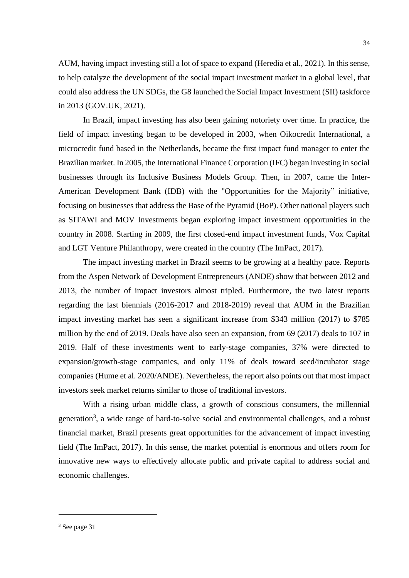AUM, having impact investing still a lot of space to expand (Heredia et al., 2021). In this sense, to help catalyze the development of the social impact investment market in a global level, that could also address the UN SDGs, the G8 launched the Social Impact Investment (SII) taskforce in 2013 (GOV.UK, 2021).

In Brazil, impact investing has also been gaining notoriety over time. In practice, the field of impact investing began to be developed in 2003, when Oikocredit International, a microcredit fund based in the Netherlands, became the first impact fund manager to enter the Brazilian market. In 2005, the International Finance Corporation (IFC) began investing in social businesses through its Inclusive Business Models Group. Then, in 2007, came the Inter-American Development Bank (IDB) with the "Opportunities for the Majority" initiative, focusing on businesses that address the Base of the Pyramid (BoP). Other national players such as SITAWI and MOV Investments began exploring impact investment opportunities in the country in 2008. Starting in 2009, the first closed-end impact investment funds, Vox Capital and LGT Venture Philanthropy, were created in the country (The ImPact, 2017).

The impact investing market in Brazil seems to be growing at a healthy pace. Reports from the Aspen Network of Development Entrepreneurs (ANDE) show that between 2012 and 2013, the number of impact investors almost tripled. Furthermore, the two latest reports regarding the last biennials (2016-2017 and 2018-2019) reveal that AUM in the Brazilian impact investing market has seen a significant increase from \$343 million (2017) to \$785 million by the end of 2019. Deals have also seen an expansion, from 69 (2017) deals to 107 in 2019. Half of these investments went to early-stage companies, 37% were directed to expansion/growth-stage companies, and only 11% of deals toward seed/incubator stage companies (Hume et al. 2020/ANDE). Nevertheless, the report also points out that most impact investors seek market returns similar to those of traditional investors.

With a rising urban middle class, a growth of conscious consumers, the millennial generation<sup>3</sup>, a wide range of hard-to-solve social and environmental challenges, and a robust financial market, Brazil presents great opportunities for the advancement of impact investing field (The ImPact, 2017). In this sense, the market potential is enormous and offers room for innovative new ways to effectively allocate public and private capital to address social and economic challenges.

<sup>3</sup> See page 31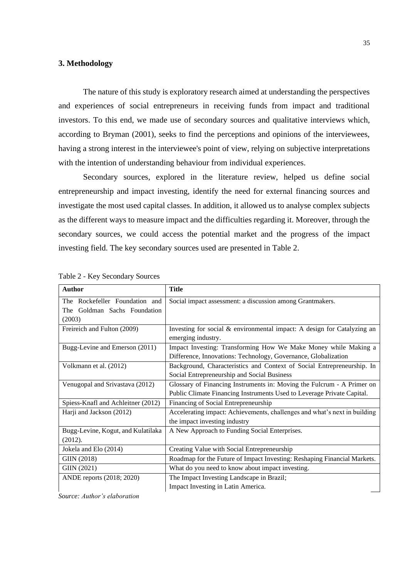## <span id="page-36-0"></span>**3. Methodology**

The nature of this study is exploratory research aimed at understanding the perspectives and experiences of social entrepreneurs in receiving funds from impact and traditional investors. To this end, we made use of secondary sources and qualitative interviews which, according to Bryman (2001), seeks to find the perceptions and opinions of the interviewees, having a strong interest in the interviewee's point of view, relying on subjective interpretations with the intention of understanding behaviour from individual experiences.

Secondary sources, explored in the literature review, helped us define social entrepreneurship and impact investing, identify the need for external financing sources and investigate the most used capital classes. In addition, it allowed us to analyse complex subjects as the different ways to measure impact and the difficulties regarding it. Moreover, through the secondary sources, we could access the potential market and the progress of the impact investing field. The key secondary sources used are presented in Table 2.

| <b>Author</b>                      | <b>Title</b>                                                              |
|------------------------------------|---------------------------------------------------------------------------|
| The Rockefeller Foundation and     | Social impact assessment: a discussion among Grantmakers.                 |
| The Goldman Sachs Foundation       |                                                                           |
| (2003)                             |                                                                           |
| Freireich and Fulton (2009)        | Investing for social & environmental impact: A design for Catalyzing an   |
|                                    | emerging industry.                                                        |
| Bugg-Levine and Emerson (2011)     | Impact Investing: Transforming How We Make Money while Making a           |
|                                    | Difference, Innovations: Technology, Governance, Globalization            |
| Volkmann et al. (2012)             | Background, Characteristics and Context of Social Entrepreneurship. In    |
|                                    | Social Entrepreneurship and Social Business                               |
| Venugopal and Srivastava (2012)    | Glossary of Financing Instruments in: Moving the Fulcrum - A Primer on    |
|                                    | Public Climate Financing Instruments Used to Leverage Private Capital.    |
| Spiess-Knafl and Achleitner (2012) | Financing of Social Entrepreneurship                                      |
| Harji and Jackson (2012)           | Accelerating impact: Achievements, challenges and what's next in building |
|                                    | the impact investing industry                                             |
| Bugg-Levine, Kogut, and Kulatilaka | A New Approach to Funding Social Enterprises.                             |
| (2012).                            |                                                                           |
| Jokela and Elo (2014)              | Creating Value with Social Entrepreneurship                               |
| GIIN (2018)                        | Roadmap for the Future of Impact Investing: Reshaping Financial Markets.  |
| GIIN (2021)                        | What do you need to know about impact investing.                          |
| ANDE reports (2018; 2020)          | The Impact Investing Landscape in Brazil;                                 |
|                                    | Impact Investing in Latin America.                                        |

<span id="page-36-1"></span>

*Source: Author's elaboration*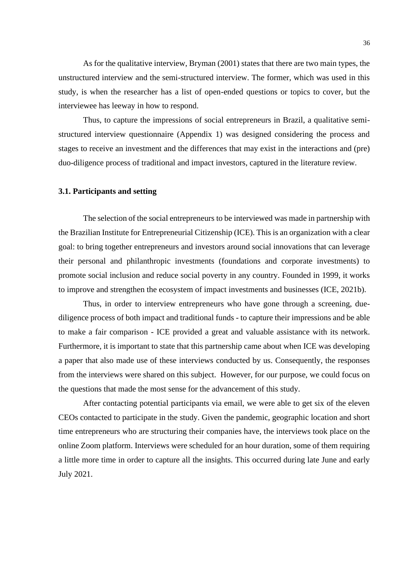As for the qualitative interview, Bryman (2001) states that there are two main types, the unstructured interview and the semi-structured interview. The former, which was used in this study, is when the researcher has a list of open-ended questions or topics to cover, but the interviewee has leeway in how to respond.

Thus, to capture the impressions of social entrepreneurs in Brazil, a qualitative semistructured interview questionnaire (Appendix 1) was designed considering the process and stages to receive an investment and the differences that may exist in the interactions and (pre) duo-diligence process of traditional and impact investors, captured in the literature review.

## <span id="page-37-0"></span>**3.1. Participants and setting**

The selection of the social entrepreneurs to be interviewed was made in partnership with the Brazilian Institute for Entrepreneurial Citizenship (ICE). This is an organization with a clear goal: to bring together entrepreneurs and investors around social innovations that can leverage their personal and philanthropic investments (foundations and corporate investments) to promote social inclusion and reduce social poverty in any country. Founded in 1999, it works to improve and strengthen the ecosystem of impact investments and businesses (ICE, 2021b).

Thus, in order to interview entrepreneurs who have gone through a screening, duediligence process of both impact and traditional funds - to capture their impressions and be able to make a fair comparison - ICE provided a great and valuable assistance with its network. Furthermore, it is important to state that this partnership came about when ICE was developing a paper that also made use of these interviews conducted by us. Consequently, the responses from the interviews were shared on this subject. However, for our purpose, we could focus on the questions that made the most sense for the advancement of this study.

After contacting potential participants via email, we were able to get six of the eleven CEOs contacted to participate in the study. Given the pandemic, geographic location and short time entrepreneurs who are structuring their companies have, the interviews took place on the online Zoom platform. Interviews were scheduled for an hour duration, some of them requiring a little more time in order to capture all the insights. This occurred during late June and early July 2021.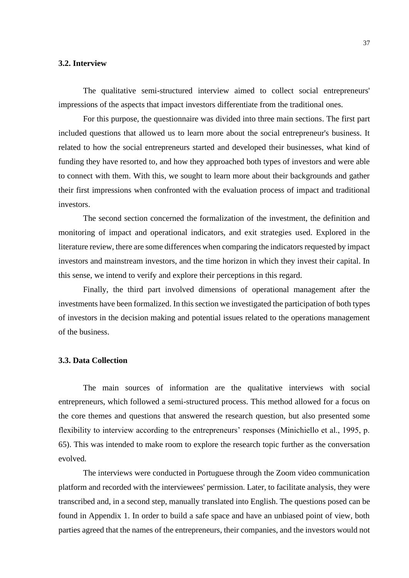#### <span id="page-38-0"></span>**3.2. Interview**

The qualitative semi-structured interview aimed to collect social entrepreneurs' impressions of the aspects that impact investors differentiate from the traditional ones.

For this purpose, the questionnaire was divided into three main sections. The first part included questions that allowed us to learn more about the social entrepreneur's business. It related to how the social entrepreneurs started and developed their businesses, what kind of funding they have resorted to, and how they approached both types of investors and were able to connect with them. With this, we sought to learn more about their backgrounds and gather their first impressions when confronted with the evaluation process of impact and traditional investors.

The second section concerned the formalization of the investment, the definition and monitoring of impact and operational indicators, and exit strategies used. Explored in the literature review, there are some differences when comparing the indicators requested by impact investors and mainstream investors, and the time horizon in which they invest their capital. In this sense, we intend to verify and explore their perceptions in this regard.

Finally, the third part involved dimensions of operational management after the investments have been formalized. In this section we investigated the participation of both types of investors in the decision making and potential issues related to the operations management of the business.

### <span id="page-38-1"></span>**3.3. Data Collection**

The main sources of information are the qualitative interviews with social entrepreneurs, which followed a semi-structured process. This method allowed for a focus on the core themes and questions that answered the research question, but also presented some flexibility to interview according to the entrepreneurs' responses (Minichiello et al., 1995, p. 65). This was intended to make room to explore the research topic further as the conversation evolved.

The interviews were conducted in Portuguese through the Zoom video communication platform and recorded with the interviewees' permission. Later, to facilitate analysis, they were transcribed and, in a second step, manually translated into English. The questions posed can be found in Appendix 1. In order to build a safe space and have an unbiased point of view, both parties agreed that the names of the entrepreneurs, their companies, and the investors would not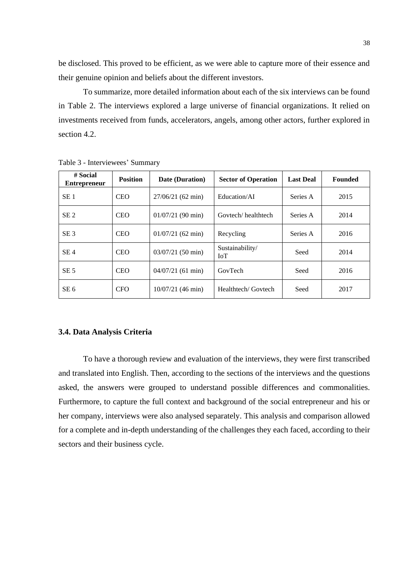be disclosed. This proved to be efficient, as we were able to capture more of their essence and their genuine opinion and beliefs about the different investors.

To summarize, more detailed information about each of the six interviews can be found in Table 2. The interviews explored a large universe of financial organizations. It relied on investments received from funds, accelerators, angels, among other actors, further explored in section 4.2.

| # Social<br><b>Entrepreneur</b> | <b>Position</b> | Date (Duration)     | <b>Sector of Operation</b>    | <b>Last Deal</b> | <b>Founded</b> |
|---------------------------------|-----------------|---------------------|-------------------------------|------------------|----------------|
| SE <sub>1</sub>                 | <b>CEO</b>      | $27/06/21$ (62 min) | Education/AI                  | Series A         | 2015           |
| SE <sub>2</sub>                 | <b>CEO</b>      | $01/07/21$ (90 min) | Govtech/healthtech            | Series A         | 2014           |
| SE <sub>3</sub>                 | <b>CEO</b>      | $01/07/21$ (62 min) | Recycling                     | Series A         | 2016           |
| SE <sub>4</sub>                 | <b>CEO</b>      | $03/07/21$ (50 min) | Sustainability/<br><b>IoT</b> | Seed             | 2014           |
| SE <sub>5</sub>                 | <b>CEO</b>      | $04/07/21$ (61 min) | GovTech                       | Seed             | 2016           |
| SE <sub>6</sub>                 | <b>CFO</b>      | 10/07/21 (46 min)   | Healthtech/ Govtech           | Seed             | 2017           |

<span id="page-39-1"></span>Table 3 - Interviewees' Summary

#### <span id="page-39-0"></span>**3.4. Data Analysis Criteria**

To have a thorough review and evaluation of the interviews, they were first transcribed and translated into English. Then, according to the sections of the interviews and the questions asked, the answers were grouped to understand possible differences and commonalities. Furthermore, to capture the full context and background of the social entrepreneur and his or her company, interviews were also analysed separately. This analysis and comparison allowed for a complete and in-depth understanding of the challenges they each faced, according to their sectors and their business cycle.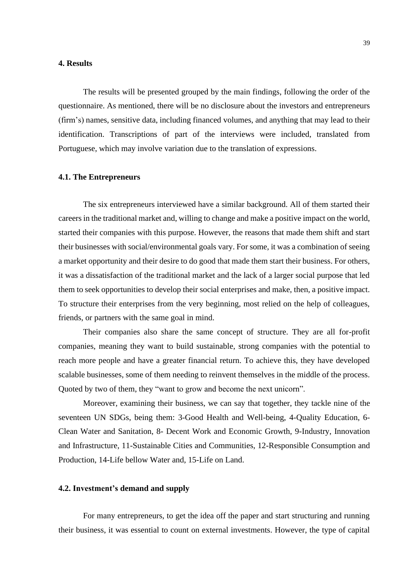#### <span id="page-40-0"></span>**4. Results**

The results will be presented grouped by the main findings, following the order of the questionnaire. As mentioned, there will be no disclosure about the investors and entrepreneurs (firm's) names, sensitive data, including financed volumes, and anything that may lead to their identification. Transcriptions of part of the interviews were included, translated from Portuguese, which may involve variation due to the translation of expressions.

## <span id="page-40-1"></span>**4.1. The Entrepreneurs**

The six entrepreneurs interviewed have a similar background. All of them started their careers in the traditional market and, willing to change and make a positive impact on the world, started their companies with this purpose. However, the reasons that made them shift and start their businesses with social/environmental goals vary. For some, it was a combination of seeing a market opportunity and their desire to do good that made them start their business. For others, it was a dissatisfaction of the traditional market and the lack of a larger social purpose that led them to seek opportunities to develop their social enterprises and make, then, a positive impact. To structure their enterprises from the very beginning, most relied on the help of colleagues, friends, or partners with the same goal in mind.

Their companies also share the same concept of structure. They are all for-profit companies, meaning they want to build sustainable, strong companies with the potential to reach more people and have a greater financial return. To achieve this, they have developed scalable businesses, some of them needing to reinvent themselves in the middle of the process. Quoted by two of them, they "want to grow and become the next unicorn".

Moreover, examining their business, we can say that together, they tackle nine of the seventeen UN SDGs, being them: 3-Good Health and Well-being, 4-Quality Education, 6- Clean Water and Sanitation, 8- Decent Work and Economic Growth, 9-Industry, Innovation and Infrastructure, 11-Sustainable Cities and Communities, 12-Responsible Consumption and Production, 14-Life bellow Water and, 15-Life on Land.

#### <span id="page-40-2"></span>**4.2. Investment's demand and supply**

For many entrepreneurs, to get the idea off the paper and start structuring and running their business, it was essential to count on external investments. However, the type of capital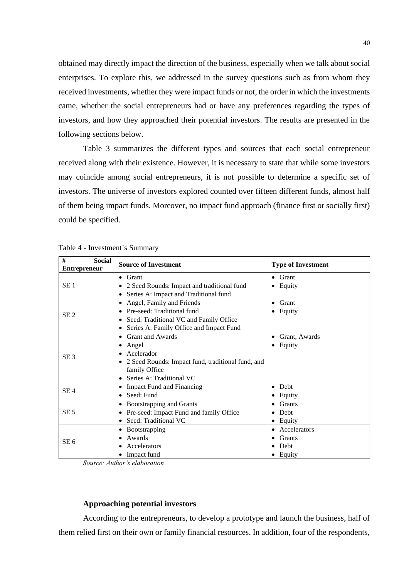obtained may directly impact the direction of the business, especially when we talk about social enterprises. To explore this, we addressed in the survey questions such as from whom they received investments, whether they were impact funds or not, the order in which the investments came, whether the social entrepreneurs had or have any preferences regarding the types of investors, and how they approached their potential investors. The results are presented in the following sections below.

Table 3 summarizes the different types and sources that each social entrepreneur received along with their existence. However, it is necessary to state that while some investors may coincide among social entrepreneurs, it is not possible to determine a specific set of investors. The universe of investors explored counted over fifteen different funds, almost half of them being impact funds. Moreover, no impact fund approach (finance first or socially first) could be specified.

| #<br><b>Social</b><br><b>Entrepreneur</b> | <b>Source of Investment</b>                                    | <b>Type of Investment</b> |
|-------------------------------------------|----------------------------------------------------------------|---------------------------|
|                                           | $\bullet$ Grant                                                | $\bullet$ Grant           |
| SE <sub>1</sub>                           | 2 Seed Rounds: Impact and traditional fund                     | Equity<br>٠               |
|                                           | Series A: Impact and Traditional fund                          |                           |
|                                           | Angel, Family and Friends                                      | Grant<br>٠                |
| SE <sub>2</sub>                           | Pre-seed: Traditional fund                                     | Equity<br>٠               |
|                                           | Seed: Traditional VC and Family Office                         |                           |
|                                           | Series A: Family Office and Impact Fund                        |                           |
|                                           | <b>Grant and Awards</b><br>٠                                   | Grant, Awards<br>٠        |
|                                           | Angel                                                          | Equity                    |
| SE <sub>3</sub>                           | Acelerador                                                     |                           |
|                                           | 2 Seed Rounds: Impact fund, traditional fund, and<br>$\bullet$ |                           |
|                                           | family Office                                                  |                           |
|                                           | Series A: Traditional VC                                       |                           |
| SE <sub>4</sub>                           | <b>Impact Fund and Financing</b>                               | Debt<br>$\bullet$         |
|                                           | Seed: Fund                                                     | Equity                    |
|                                           | Bootstrapping and Grants                                       | Grants                    |
| SE <sub>5</sub>                           | Pre-seed: Impact Fund and family Office                        | Debt<br>$\bullet$         |
|                                           | Seed: Traditional VC                                           | Equity                    |
|                                           | <b>B</b> ootstrapping<br>٠                                     | Accelerators<br>$\bullet$ |
| SE 6                                      | Awards                                                         | Grants                    |
|                                           | Accelerators                                                   | Debt                      |
|                                           | Impact fund                                                    | Equity                    |

<span id="page-41-0"></span>

| Table 4 - Investment`s Summary |
|--------------------------------|
|                                |

*Source: Author's elaboration*

#### **Approaching potential investors**

According to the entrepreneurs, to develop a prototype and launch the business, half of them relied first on their own or family financial resources. In addition, four of the respondents,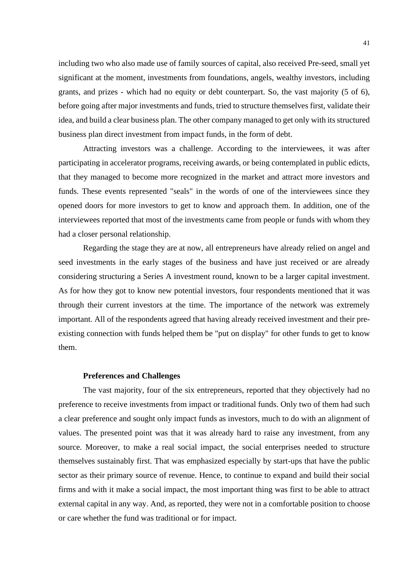including two who also made use of family sources of capital, also received Pre-seed, small yet significant at the moment, investments from foundations, angels, wealthy investors, including grants, and prizes - which had no equity or debt counterpart. So, the vast majority (5 of 6), before going after major investments and funds, tried to structure themselves first, validate their idea, and build a clear business plan. The other company managed to get only with its structured business plan direct investment from impact funds, in the form of debt.

Attracting investors was a challenge. According to the interviewees, it was after participating in accelerator programs, receiving awards, or being contemplated in public edicts, that they managed to become more recognized in the market and attract more investors and funds. These events represented "seals" in the words of one of the interviewees since they opened doors for more investors to get to know and approach them. In addition, one of the interviewees reported that most of the investments came from people or funds with whom they had a closer personal relationship.

Regarding the stage they are at now, all entrepreneurs have already relied on angel and seed investments in the early stages of the business and have just received or are already considering structuring a Series A investment round, known to be a larger capital investment. As for how they got to know new potential investors, four respondents mentioned that it was through their current investors at the time. The importance of the network was extremely important. All of the respondents agreed that having already received investment and their preexisting connection with funds helped them be "put on display" for other funds to get to know them.

#### **Preferences and Challenges**

The vast majority, four of the six entrepreneurs, reported that they objectively had no preference to receive investments from impact or traditional funds. Only two of them had such a clear preference and sought only impact funds as investors, much to do with an alignment of values. The presented point was that it was already hard to raise any investment, from any source. Moreover, to make a real social impact, the social enterprises needed to structure themselves sustainably first. That was emphasized especially by start-ups that have the public sector as their primary source of revenue. Hence, to continue to expand and build their social firms and with it make a social impact, the most important thing was first to be able to attract external capital in any way. And, as reported, they were not in a comfortable position to choose or care whether the fund was traditional or for impact.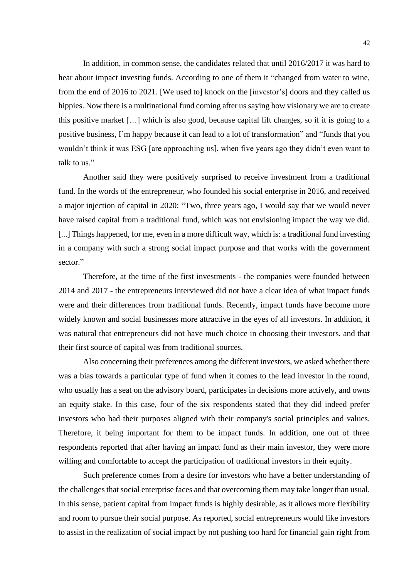In addition, in common sense, the candidates related that until 2016/2017 it was hard to hear about impact investing funds. According to one of them it "changed from water to wine, from the end of 2016 to 2021. [We used to] knock on the [investor's] doors and they called us hippies. Now there is a multinational fund coming after us saying how visionary we are to create this positive market […] which is also good, because capital lift changes, so if it is going to a positive business, I`m happy because it can lead to a lot of transformation" and "funds that you wouldn't think it was ESG [are approaching us], when five years ago they didn't even want to talk to us."

Another said they were positively surprised to receive investment from a traditional fund. In the words of the entrepreneur, who founded his social enterprise in 2016, and received a major injection of capital in 2020: "Two, three years ago, I would say that we would never have raised capital from a traditional fund, which was not envisioning impact the way we did. [...] Things happened, for me, even in a more difficult way, which is: a traditional fund investing in a company with such a strong social impact purpose and that works with the government sector."

Therefore, at the time of the first investments - the companies were founded between 2014 and 2017 - the entrepreneurs interviewed did not have a clear idea of what impact funds were and their differences from traditional funds. Recently, impact funds have become more widely known and social businesses more attractive in the eyes of all investors. In addition, it was natural that entrepreneurs did not have much choice in choosing their investors. and that their first source of capital was from traditional sources.

Also concerning their preferences among the different investors, we asked whether there was a bias towards a particular type of fund when it comes to the lead investor in the round, who usually has a seat on the advisory board, participates in decisions more actively, and owns an equity stake. In this case, four of the six respondents stated that they did indeed prefer investors who had their purposes aligned with their company's social principles and values. Therefore, it being important for them to be impact funds. In addition, one out of three respondents reported that after having an impact fund as their main investor, they were more willing and comfortable to accept the participation of traditional investors in their equity.

Such preference comes from a desire for investors who have a better understanding of the challenges that social enterprise faces and that overcoming them may take longer than usual. In this sense, patient capital from impact funds is highly desirable, as it allows more flexibility and room to pursue their social purpose. As reported, social entrepreneurs would like investors to assist in the realization of social impact by not pushing too hard for financial gain right from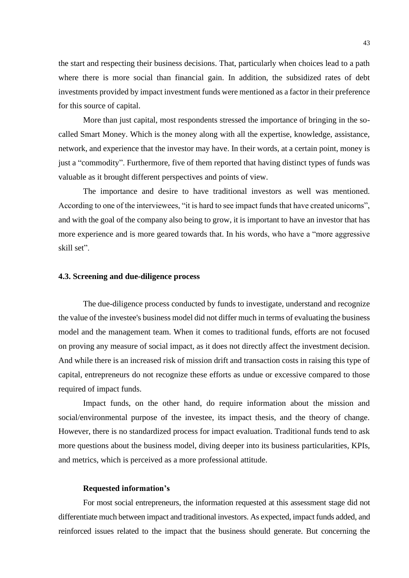the start and respecting their business decisions. That, particularly when choices lead to a path where there is more social than financial gain. In addition, the subsidized rates of debt investments provided by impact investment funds were mentioned as a factor in their preference for this source of capital.

More than just capital, most respondents stressed the importance of bringing in the socalled Smart Money. Which is the money along with all the expertise, knowledge, assistance, network, and experience that the investor may have. In their words, at a certain point, money is just a "commodity". Furthermore, five of them reported that having distinct types of funds was valuable as it brought different perspectives and points of view.

The importance and desire to have traditional investors as well was mentioned. According to one of the interviewees, "it is hard to see impact funds that have created unicorns", and with the goal of the company also being to grow, it is important to have an investor that has more experience and is more geared towards that. In his words, who have a "more aggressive skill set".

#### <span id="page-44-0"></span>**4.3. Screening and due-diligence process**

The due-diligence process conducted by funds to investigate, understand and recognize the value of the investee's business model did not differ much in terms of evaluating the business model and the management team. When it comes to traditional funds, efforts are not focused on proving any measure of social impact, as it does not directly affect the investment decision. And while there is an increased risk of mission drift and transaction costs in raising this type of capital, entrepreneurs do not recognize these efforts as undue or excessive compared to those required of impact funds.

Impact funds, on the other hand, do require information about the mission and social/environmental purpose of the investee, its impact thesis, and the theory of change. However, there is no standardized process for impact evaluation. Traditional funds tend to ask more questions about the business model, diving deeper into its business particularities, KPIs, and metrics, which is perceived as a more professional attitude.

#### **Requested information's**

For most social entrepreneurs, the information requested at this assessment stage did not differentiate much between impact and traditional investors. As expected, impact funds added, and reinforced issues related to the impact that the business should generate. But concerning the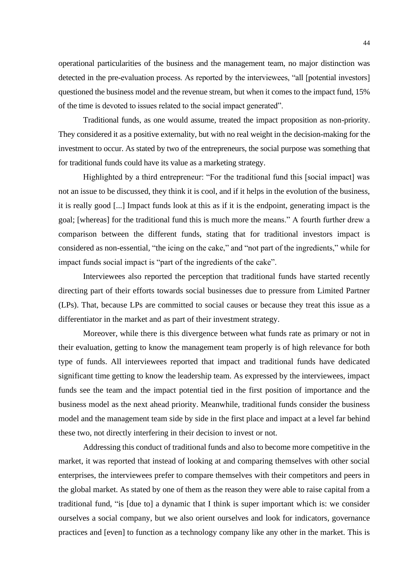operational particularities of the business and the management team, no major distinction was detected in the pre-evaluation process. As reported by the interviewees, "all [potential investors] questioned the business model and the revenue stream, but when it comes to the impact fund, 15% of the time is devoted to issues related to the social impact generated".

Traditional funds, as one would assume, treated the impact proposition as non-priority. They considered it as a positive externality, but with no real weight in the decision-making for the investment to occur. As stated by two of the entrepreneurs, the social purpose was something that for traditional funds could have its value as a marketing strategy.

Highlighted by a third entrepreneur: "For the traditional fund this [social impact] was not an issue to be discussed, they think it is cool, and if it helps in the evolution of the business, it is really good [...] Impact funds look at this as if it is the endpoint, generating impact is the goal; [whereas] for the traditional fund this is much more the means." A fourth further drew a comparison between the different funds, stating that for traditional investors impact is considered as non-essential, "the icing on the cake," and "not part of the ingredients," while for impact funds social impact is "part of the ingredients of the cake".

Interviewees also reported the perception that traditional funds have started recently directing part of their efforts towards social businesses due to pressure from Limited Partner (LPs). That, because LPs are committed to social causes or because they treat this issue as a differentiator in the market and as part of their investment strategy.

Moreover, while there is this divergence between what funds rate as primary or not in their evaluation, getting to know the management team properly is of high relevance for both type of funds. All interviewees reported that impact and traditional funds have dedicated significant time getting to know the leadership team. As expressed by the interviewees, impact funds see the team and the impact potential tied in the first position of importance and the business model as the next ahead priority. Meanwhile, traditional funds consider the business model and the management team side by side in the first place and impact at a level far behind these two, not directly interfering in their decision to invest or not.

Addressing this conduct of traditional funds and also to become more competitive in the market, it was reported that instead of looking at and comparing themselves with other social enterprises, the interviewees prefer to compare themselves with their competitors and peers in the global market. As stated by one of them as the reason they were able to raise capital from a traditional fund, "is [due to] a dynamic that I think is super important which is: we consider ourselves a social company, but we also orient ourselves and look for indicators, governance practices and [even] to function as a technology company like any other in the market. This is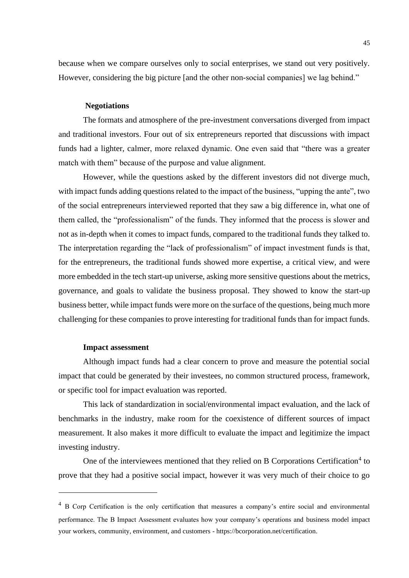because when we compare ourselves only to social enterprises, we stand out very positively. However, considering the big picture [and the other non-social companies] we lag behind."

#### **Negotiations**

The formats and atmosphere of the pre-investment conversations diverged from impact and traditional investors. Four out of six entrepreneurs reported that discussions with impact funds had a lighter, calmer, more relaxed dynamic. One even said that "there was a greater match with them" because of the purpose and value alignment.

However, while the questions asked by the different investors did not diverge much, with impact funds adding questions related to the impact of the business, "upping the ante", two of the social entrepreneurs interviewed reported that they saw a big difference in, what one of them called, the "professionalism" of the funds. They informed that the process is slower and not as in-depth when it comes to impact funds, compared to the traditional funds they talked to. The interpretation regarding the "lack of professionalism" of impact investment funds is that, for the entrepreneurs, the traditional funds showed more expertise, a critical view, and were more embedded in the tech start-up universe, asking more sensitive questions about the metrics, governance, and goals to validate the business proposal. They showed to know the start-up business better, while impact funds were more on the surface of the questions, being much more challenging for these companies to prove interesting for traditional funds than for impact funds.

#### **Impact assessment**

Although impact funds had a clear concern to prove and measure the potential social impact that could be generated by their investees, no common structured process, framework, or specific tool for impact evaluation was reported.

This lack of standardization in social/environmental impact evaluation, and the lack of benchmarks in the industry, make room for the coexistence of different sources of impact measurement. It also makes it more difficult to evaluate the impact and legitimize the impact investing industry.

One of the interviewees mentioned that they relied on B Corporations Certification<sup>4</sup> to prove that they had a positive social impact, however it was very much of their choice to go

<sup>&</sup>lt;sup>4</sup> B Corp Certification is the only certification that measures a company's entire social and environmental performance. The B Impact Assessment evaluates how your company's operations and business model impact your workers, community, environment, and customers - https://bcorporation.net/certification.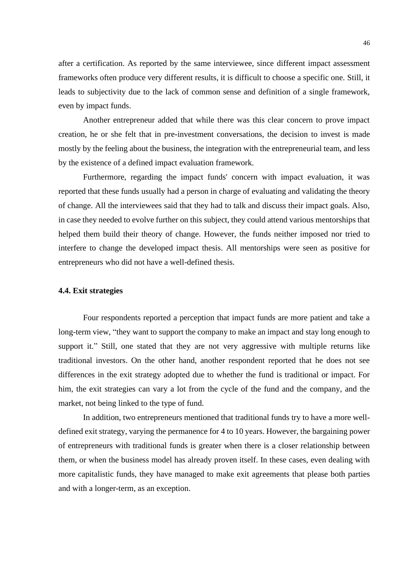after a certification. As reported by the same interviewee, since different impact assessment frameworks often produce very different results, it is difficult to choose a specific one. Still, it leads to subjectivity due to the lack of common sense and definition of a single framework, even by impact funds.

Another entrepreneur added that while there was this clear concern to prove impact creation, he or she felt that in pre-investment conversations, the decision to invest is made mostly by the feeling about the business, the integration with the entrepreneurial team, and less by the existence of a defined impact evaluation framework.

Furthermore, regarding the impact funds' concern with impact evaluation, it was reported that these funds usually had a person in charge of evaluating and validating the theory of change. All the interviewees said that they had to talk and discuss their impact goals. Also, in case they needed to evolve further on this subject, they could attend various mentorships that helped them build their theory of change. However, the funds neither imposed nor tried to interfere to change the developed impact thesis. All mentorships were seen as positive for entrepreneurs who did not have a well-defined thesis.

## <span id="page-47-0"></span>**4.4. Exit strategies**

Four respondents reported a perception that impact funds are more patient and take a long-term view, "they want to support the company to make an impact and stay long enough to support it." Still, one stated that they are not very aggressive with multiple returns like traditional investors. On the other hand, another respondent reported that he does not see differences in the exit strategy adopted due to whether the fund is traditional or impact. For him, the exit strategies can vary a lot from the cycle of the fund and the company, and the market, not being linked to the type of fund.

In addition, two entrepreneurs mentioned that traditional funds try to have a more welldefined exit strategy, varying the permanence for 4 to 10 years. However, the bargaining power of entrepreneurs with traditional funds is greater when there is a closer relationship between them, or when the business model has already proven itself. In these cases, even dealing with more capitalistic funds, they have managed to make exit agreements that please both parties and with a longer-term, as an exception.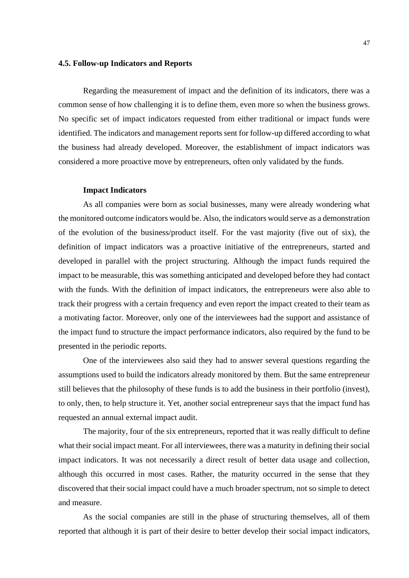#### <span id="page-48-0"></span>**4.5. Follow-up Indicators and Reports**

Regarding the measurement of impact and the definition of its indicators, there was a common sense of how challenging it is to define them, even more so when the business grows. No specific set of impact indicators requested from either traditional or impact funds were identified. The indicators and management reports sent for follow-up differed according to what the business had already developed. Moreover, the establishment of impact indicators was considered a more proactive move by entrepreneurs, often only validated by the funds.

#### **Impact Indicators**

As all companies were born as social businesses, many were already wondering what the monitored outcome indicators would be. Also, the indicators would serve as a demonstration of the evolution of the business/product itself. For the vast majority (five out of six), the definition of impact indicators was a proactive initiative of the entrepreneurs, started and developed in parallel with the project structuring. Although the impact funds required the impact to be measurable, this was something anticipated and developed before they had contact with the funds. With the definition of impact indicators, the entrepreneurs were also able to track their progress with a certain frequency and even report the impact created to their team as a motivating factor. Moreover, only one of the interviewees had the support and assistance of the impact fund to structure the impact performance indicators, also required by the fund to be presented in the periodic reports.

One of the interviewees also said they had to answer several questions regarding the assumptions used to build the indicators already monitored by them. But the same entrepreneur still believes that the philosophy of these funds is to add the business in their portfolio (invest), to only, then, to help structure it. Yet, another social entrepreneur says that the impact fund has requested an annual external impact audit.

The majority, four of the six entrepreneurs, reported that it was really difficult to define what their social impact meant. For all interviewees, there was a maturity in defining their social impact indicators. It was not necessarily a direct result of better data usage and collection, although this occurred in most cases. Rather, the maturity occurred in the sense that they discovered that their social impact could have a much broader spectrum, not so simple to detect and measure.

As the social companies are still in the phase of structuring themselves, all of them reported that although it is part of their desire to better develop their social impact indicators,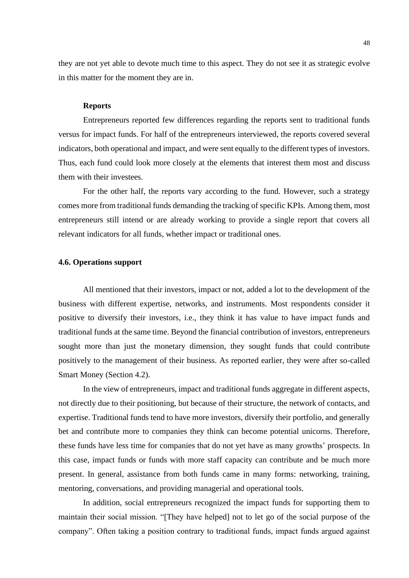they are not yet able to devote much time to this aspect. They do not see it as strategic evolve in this matter for the moment they are in.

#### **Reports**

Entrepreneurs reported few differences regarding the reports sent to traditional funds versus for impact funds. For half of the entrepreneurs interviewed, the reports covered several indicators, both operational and impact, and were sent equally to the different types of investors. Thus, each fund could look more closely at the elements that interest them most and discuss them with their investees.

For the other half, the reports vary according to the fund. However, such a strategy comes more from traditional funds demanding the tracking of specific KPIs. Among them, most entrepreneurs still intend or are already working to provide a single report that covers all relevant indicators for all funds, whether impact or traditional ones.

## <span id="page-49-0"></span>**4.6. Operations support**

All mentioned that their investors, impact or not, added a lot to the development of the business with different expertise, networks, and instruments. Most respondents consider it positive to diversify their investors, i.e., they think it has value to have impact funds and traditional funds at the same time. Beyond the financial contribution of investors, entrepreneurs sought more than just the monetary dimension, they sought funds that could contribute positively to the management of their business. As reported earlier, they were after so-called Smart Money (Section 4.2).

In the view of entrepreneurs, impact and traditional funds aggregate in different aspects, not directly due to their positioning, but because of their structure, the network of contacts, and expertise. Traditional funds tend to have more investors, diversify their portfolio, and generally bet and contribute more to companies they think can become potential unicorns. Therefore, these funds have less time for companies that do not yet have as many growths' prospects. In this case, impact funds or funds with more staff capacity can contribute and be much more present. In general, assistance from both funds came in many forms: networking, training, mentoring, conversations, and providing managerial and operational tools.

In addition, social entrepreneurs recognized the impact funds for supporting them to maintain their social mission. "[They have helped] not to let go of the social purpose of the company". Often taking a position contrary to traditional funds, impact funds argued against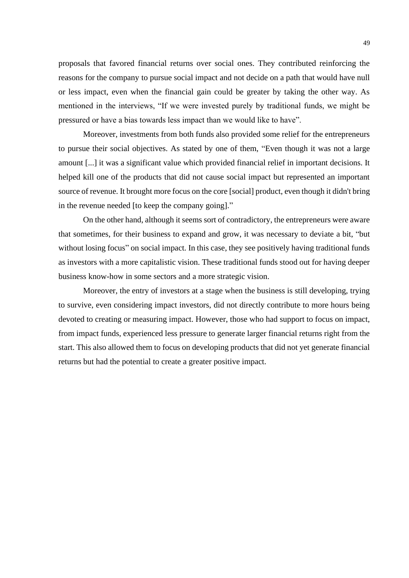proposals that favored financial returns over social ones. They contributed reinforcing the reasons for the company to pursue social impact and not decide on a path that would have null or less impact, even when the financial gain could be greater by taking the other way. As mentioned in the interviews, "If we were invested purely by traditional funds, we might be pressured or have a bias towards less impact than we would like to have".

Moreover, investments from both funds also provided some relief for the entrepreneurs to pursue their social objectives. As stated by one of them, "Even though it was not a large amount [...] it was a significant value which provided financial relief in important decisions. It helped kill one of the products that did not cause social impact but represented an important source of revenue. It brought more focus on the core [social] product, even though it didn't bring in the revenue needed [to keep the company going]."

On the other hand, although it seems sort of contradictory, the entrepreneurs were aware that sometimes, for their business to expand and grow, it was necessary to deviate a bit, "but without losing focus" on social impact. In this case, they see positively having traditional funds as investors with a more capitalistic vision. These traditional funds stood out for having deeper business know-how in some sectors and a more strategic vision.

Moreover, the entry of investors at a stage when the business is still developing, trying to survive, even considering impact investors, did not directly contribute to more hours being devoted to creating or measuring impact. However, those who had support to focus on impact, from impact funds, experienced less pressure to generate larger financial returns right from the start. This also allowed them to focus on developing products that did not yet generate financial returns but had the potential to create a greater positive impact.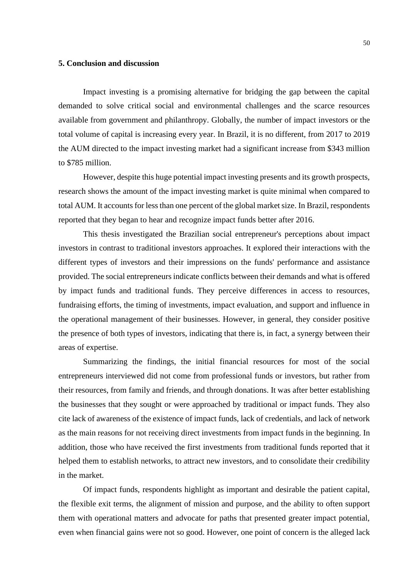#### <span id="page-51-0"></span>**5. Conclusion and discussion**

Impact investing is a promising alternative for bridging the gap between the capital demanded to solve critical social and environmental challenges and the scarce resources available from government and philanthropy. Globally, the number of impact investors or the total volume of capital is increasing every year. In Brazil, it is no different, from 2017 to 2019 the AUM directed to the impact investing market had a significant increase from \$343 million to \$785 million.

However, despite this huge potential impact investing presents and its growth prospects, research shows the amount of the impact investing market is quite minimal when compared to total AUM. It accounts for less than one percent of the global market size. In Brazil, respondents reported that they began to hear and recognize impact funds better after 2016.

This thesis investigated the Brazilian social entrepreneur's perceptions about impact investors in contrast to traditional investors approaches. It explored their interactions with the different types of investors and their impressions on the funds' performance and assistance provided. The social entrepreneurs indicate conflicts between their demands and what is offered by impact funds and traditional funds. They perceive differences in access to resources, fundraising efforts, the timing of investments, impact evaluation, and support and influence in the operational management of their businesses. However, in general, they consider positive the presence of both types of investors, indicating that there is, in fact, a synergy between their areas of expertise.

Summarizing the findings, the initial financial resources for most of the social entrepreneurs interviewed did not come from professional funds or investors, but rather from their resources, from family and friends, and through donations. It was after better establishing the businesses that they sought or were approached by traditional or impact funds. They also cite lack of awareness of the existence of impact funds, lack of credentials, and lack of network as the main reasons for not receiving direct investments from impact funds in the beginning. In addition, those who have received the first investments from traditional funds reported that it helped them to establish networks, to attract new investors, and to consolidate their credibility in the market.

Of impact funds, respondents highlight as important and desirable the patient capital, the flexible exit terms, the alignment of mission and purpose, and the ability to often support them with operational matters and advocate for paths that presented greater impact potential, even when financial gains were not so good. However, one point of concern is the alleged lack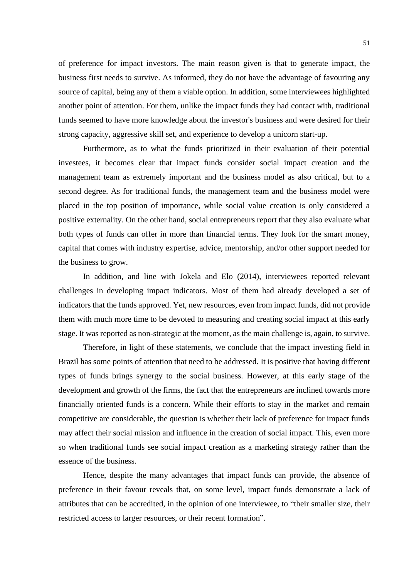of preference for impact investors. The main reason given is that to generate impact, the business first needs to survive. As informed, they do not have the advantage of favouring any source of capital, being any of them a viable option. In addition, some interviewees highlighted another point of attention. For them, unlike the impact funds they had contact with, traditional funds seemed to have more knowledge about the investor's business and were desired for their strong capacity, aggressive skill set, and experience to develop a unicorn start-up.

Furthermore, as to what the funds prioritized in their evaluation of their potential investees, it becomes clear that impact funds consider social impact creation and the management team as extremely important and the business model as also critical, but to a second degree. As for traditional funds, the management team and the business model were placed in the top position of importance, while social value creation is only considered a positive externality. On the other hand, social entrepreneurs report that they also evaluate what both types of funds can offer in more than financial terms. They look for the smart money, capital that comes with industry expertise, advice, mentorship, and/or other support needed for the business to grow.

In addition, and line with Jokela and Elo (2014), interviewees reported relevant challenges in developing impact indicators. Most of them had already developed a set of indicators that the funds approved. Yet, new resources, even from impact funds, did not provide them with much more time to be devoted to measuring and creating social impact at this early stage. It was reported as non-strategic at the moment, as the main challenge is, again, to survive.

Therefore, in light of these statements, we conclude that the impact investing field in Brazil has some points of attention that need to be addressed. It is positive that having different types of funds brings synergy to the social business. However, at this early stage of the development and growth of the firms, the fact that the entrepreneurs are inclined towards more financially oriented funds is a concern. While their efforts to stay in the market and remain competitive are considerable, the question is whether their lack of preference for impact funds may affect their social mission and influence in the creation of social impact. This, even more so when traditional funds see social impact creation as a marketing strategy rather than the essence of the business.

Hence, despite the many advantages that impact funds can provide, the absence of preference in their favour reveals that, on some level, impact funds demonstrate a lack of attributes that can be accredited, in the opinion of one interviewee, to "their smaller size, their restricted access to larger resources, or their recent formation".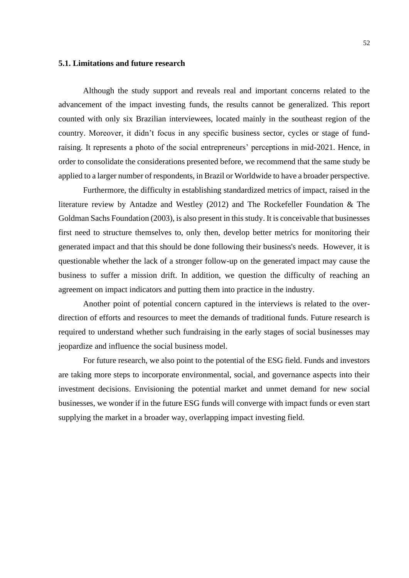#### <span id="page-53-0"></span>**5.1. Limitations and future research**

Although the study support and reveals real and important concerns related to the advancement of the impact investing funds, the results cannot be generalized. This report counted with only six Brazilian interviewees, located mainly in the southeast region of the country. Moreover, it didn't focus in any specific business sector, cycles or stage of fundraising. It represents a photo of the social entrepreneurs' perceptions in mid-2021. Hence, in order to consolidate the considerations presented before, we recommend that the same study be applied to a larger number of respondents, in Brazil or Worldwide to have a broader perspective.

Furthermore, the difficulty in establishing standardized metrics of impact, raised in the literature review by Antadze and Westley (2012) and The Rockefeller Foundation & The Goldman Sachs Foundation (2003), is also present in this study. It is conceivable that businesses first need to structure themselves to, only then, develop better metrics for monitoring their generated impact and that this should be done following their business's needs. However, it is questionable whether the lack of a stronger follow-up on the generated impact may cause the business to suffer a mission drift. In addition, we question the difficulty of reaching an agreement on impact indicators and putting them into practice in the industry.

Another point of potential concern captured in the interviews is related to the overdirection of efforts and resources to meet the demands of traditional funds. Future research is required to understand whether such fundraising in the early stages of social businesses may jeopardize and influence the social business model.

For future research, we also point to the potential of the ESG field. Funds and investors are taking more steps to incorporate environmental, social, and governance aspects into their investment decisions. Envisioning the potential market and unmet demand for new social businesses, we wonder if in the future ESG funds will converge with impact funds or even start supplying the market in a broader way, overlapping impact investing field.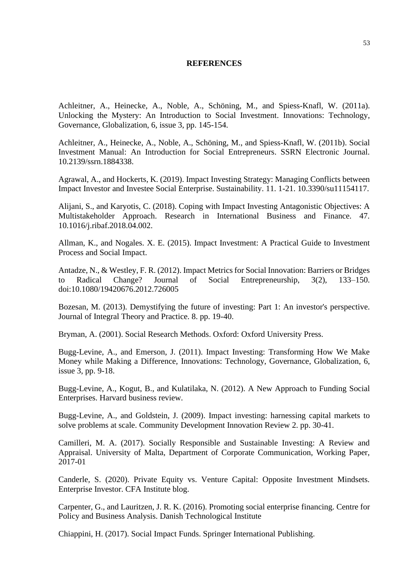#### **REFERENCES**

<span id="page-54-0"></span>Achleitner, A., Heinecke, A., Noble, A., Schöning, M., and Spiess-Knafl, W. (2011a). Unlocking the Mystery: An Introduction to Social Investment. Innovations: Technology, Governance, Globalization, 6, issue 3, pp. 145-154.

Achleitner, A., Heinecke, A., Noble, A., Schöning, M., and Spiess-Knafl, W. (2011b). Social Investment Manual: An Introduction for Social Entrepreneurs. SSRN Electronic Journal. 10.2139/ssrn.1884338.

Agrawal, A., and Hockerts, K. (2019). Impact Investing Strategy: Managing Conflicts between Impact Investor and Investee Social Enterprise. Sustainability. 11. 1-21. 10.3390/su11154117.

Alijani, S., and Karyotis, C. (2018). Coping with Impact Investing Antagonistic Objectives: A Multistakeholder Approach. Research in International Business and Finance. 47. 10.1016/j.ribaf.2018.04.002.

Allman, K., and Nogales. X. E. (2015). Impact Investment: A Practical Guide to Investment Process and Social Impact.

Antadze, N., & Westley, F. R. (2012). Impact Metrics for Social Innovation: Barriers or Bridges to Radical Change? Journal of Social Entrepreneurship, 3(2), 133–150. doi:10.1080/19420676.2012.726005

Bozesan, M. (2013). Demystifying the future of investing: Part 1: An investor's perspective. Journal of Integral Theory and Practice. 8. pp. 19-40.

Bryman, A. (2001). Social Research Methods. Oxford: Oxford University Press.

Bugg-Levine, A., and Emerson, J. (2011). Impact Investing: Transforming How We Make Money while Making a Difference, Innovations: Technology, Governance, Globalization, 6, issue 3, pp. 9-18.

Bugg-Levine, A., Kogut, B., and Kulatilaka, N. (2012). A New Approach to Funding Social Enterprises. Harvard business review.

Bugg-Levine, A., and Goldstein, J. (2009). Impact investing: harnessing capital markets to solve problems at scale. Community Development Innovation Review 2. pp. 30-41.

Camilleri, M. A. (2017). Socially Responsible and Sustainable Investing: A Review and Appraisal. University of Malta, Department of Corporate Communication, Working Paper, 2017-01

Canderle, S. (2020). Private Equity vs. Venture Capital: Opposite Investment Mindsets. Enterprise Investor. CFA Institute blog.

Carpenter, G., and Lauritzen, J. R. K. (2016). Promoting social enterprise financing. Centre for Policy and Business Analysis. Danish Technological Institute

Chiappini, H. (2017). Social Impact Funds. Springer International Publishing.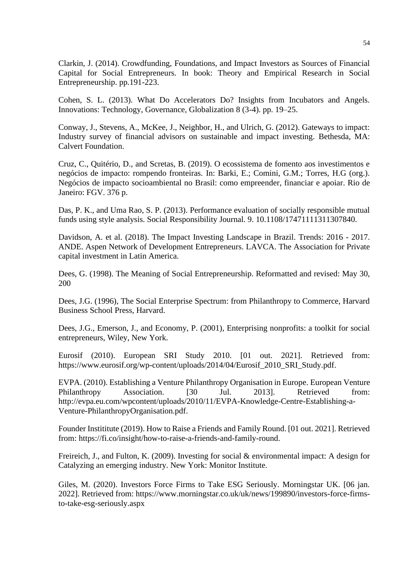Clarkin, J. (2014). Crowdfunding, Foundations, and Impact Investors as Sources of Financial Capital for Social Entrepreneurs. In book: Theory and Empirical Research in Social Entrepreneurship. pp.191-223.

Cohen, S. L. (2013). What Do Accelerators Do? Insights from Incubators and Angels. Innovations: Technology, Governance, Globalization 8 (3-4). pp. 19–25.

Conway, J., Stevens, A., McKee, J., Neighbor, H., and Ulrich, G. (2012). Gateways to impact: Industry survey of financial advisors on sustainable and impact investing. Bethesda, MA: Calvert Foundation.

Cruz, C., Quitério, D., and Scretas, B. (2019). O ecossistema de fomento aos investimentos e negócios de impacto: rompendo fronteiras. In: Barki, E.; Comini, G.M.; Torres, H.G (org.). Negócios de impacto socioambiental no Brasil: como empreender, financiar e apoiar. Rio de Janeiro: FGV. 376 p.

Das, P. K., and Uma Rao, S. P. (2013). Performance evaluation of socially responsible mutual funds using style analysis. Social Responsibility Journal. 9. 10.1108/17471111311307840.

Davidson, A. et al. (2018). The Impact Investing Landscape in Brazil. Trends: 2016 - 2017. ANDE. Aspen Network of Development Entrepreneurs. LAVCA. The Association for Private capital investment in Latin America.

Dees, G. (1998). The Meaning of Social Entrepreneurship. Reformatted and revised: May 30, 200

Dees, J.G. (1996), The Social Enterprise Spectrum: from Philanthropy to Commerce, Harvard Business School Press, Harvard.

Dees, J.G., Emerson, J., and Economy, P. (2001), Enterprising nonprofits: a toolkit for social entrepreneurs, Wiley, New York.

Eurosif (2010). European SRI Study 2010. [01 out. 2021]. Retrieved from: https://www.eurosif.org/wp-content/uploads/2014/04/Eurosif\_2010\_SRI\_Study.pdf.

EVPA. (2010). Establishing a Venture Philanthropy Organisation in Europe. European Venture Philanthropy Association. [30 Jul. 2013]. Retrieved from: http://evpa.eu.com/wpcontent/uploads/2010/11/EVPA-Knowledge-Centre-Establishing-a-Venture-PhilanthropyOrganisation.pdf.

Founder Instititute (2019). How to Raise a Friends and Family Round. [01 out. 2021]. Retrieved from: https://fi.co/insight/how-to-raise-a-friends-and-family-round.

Freireich, J., and Fulton, K. (2009). Investing for social & environmental impact: A design for Catalyzing an emerging industry. New York: Monitor Institute.

Giles, M. (2020). Investors Force Firms to Take ESG Seriously. Morningstar UK. [06 jan. 2022]. Retrieved from: https://www.morningstar.co.uk/uk/news/199890/investors-force-firmsto-take-esg-seriously.aspx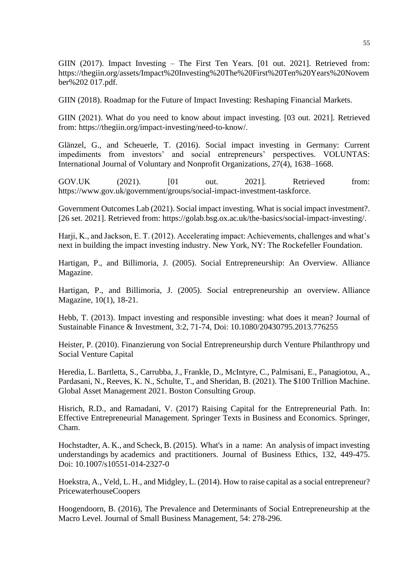GIIN (2017). Impact Investing – The First Ten Years. [01 out. 2021]. Retrieved from: https://thegiin.org/assets/Impact%20Investing%20The%20First%20Ten%20Years%20Novem ber%202 017.pdf.

GIIN (2018). Roadmap for the Future of Impact Investing: Reshaping Financial Markets.

GIIN (2021). What do you need to know about impact investing. [03 out. 2021]. Retrieved from: https://thegiin.org/impact-investing/need-to-know/.

Glänzel, G., and Scheuerle, T. (2016). Social impact investing in Germany: Current impediments from investors' and social entrepreneurs' perspectives. VOLUNTAS: International Journal of Voluntary and Nonprofit Organizations, 27(4), 1638–1668.

GOV.UK (2021). [01 out. 2021]. Retrieved from: https://www.gov.uk/government/groups/social-impact-investment-taskforce.

Government Outcomes Lab (2021). Social impact investing. What is social impact investment?. [26 set. 2021]. Retrieved from: https://golab.bsg.ox.ac.uk/the-basics/social-impact-investing/.

Harji, K., and Jackson, E. T. (2012). Accelerating impact: Achievements, challenges and what's next in building the impact investing industry. New York, NY: The Rockefeller Foundation.

Hartigan, P., and Billimoria, J. (2005). Social Entrepreneurship: An Overview. Alliance Magazine.

Hartigan, P., and Billimoria, J. (2005). Social entrepreneurship an overview. Alliance Magazine, 10(1), 18-21.

Hebb, T. (2013). Impact investing and responsible investing: what does it mean? Journal of Sustainable Finance & Investment, 3:2, 71-74, Doi: 10.1080/20430795.2013.776255

Heister, P. (2010). Finanzierung von Social Entrepreneurship durch Venture Philanthropy und Social Venture Capital

Heredia, L. Bartletta, S., Carrubba, J., Frankle, D., McIntyre, C., Palmisani, E., Panagiotou, A., Pardasani, N., Reeves, K. N., Schulte, T., and Sheridan, B. (2021). The \$100 Trillion Machine. Global Asset Management 2021. Boston Consulting Group.

Hisrich, R.D., and Ramadani, V. (2017) Raising Capital for the Entrepreneurial Path. In: Effective Entrepreneurial Management. Springer Texts in Business and Economics. Springer, Cham.

Hochstadter, A. K., and Scheck, B. (2015). What's in a name: An analysis of impact investing understandings by academics and practitioners. Journal of Business Ethics, 132, 449-475. Doi: 10.1007/s10551-014-2327-0

Hoekstra, A., Veld, L. H., and Midgley, L. (2014). How to raise capital as a social entrepreneur? PricewaterhouseCoopers

Hoogendoorn, B. (2016), The Prevalence and Determinants of Social Entrepreneurship at the Macro Level. Journal of Small Business Management, 54: 278-296.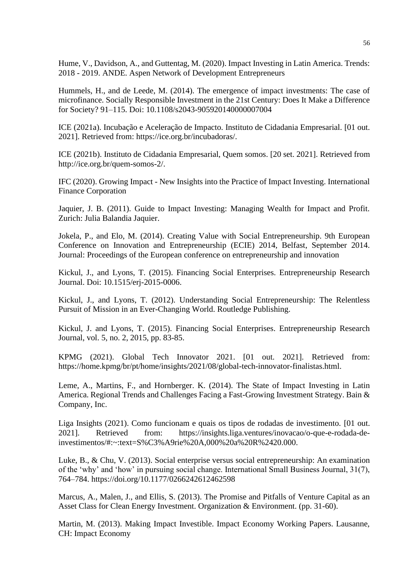Hume, V., Davidson, A., and Guttentag, M. (2020). Impact Investing in Latin America. Trends: 2018 - 2019. ANDE. Aspen Network of Development Entrepreneurs

Hummels, H., and de Leede, M. (2014). The emergence of impact investments: The case of microfinance. Socially Responsible Investment in the 21st Century: Does It Make a Difference for Society? 91–115. Doi: 10.1108/s2043-905920140000007004

ICE (2021a). Incubação e Aceleração de Impacto. Instituto de Cidadania Empresarial. [01 out. 2021]. Retrieved from: https://ice.org.br/incubadoras/.

ICE (2021b). Instituto de Cidadania Empresarial, Quem somos. [20 set. 2021]. Retrieved from http://ice.org.br/quem-somos-2/.

IFC (2020). Growing Impact - New Insights into the Practice of Impact Investing. International Finance Corporation

Jaquier, J. B. (2011). Guide to Impact Investing: Managing Wealth for Impact and Profit. Zurich: Julia Balandia Jaquier.

Jokela, P., and Elo, M. (2014). Creating Value with Social Entrepreneurship. 9th European Conference on Innovation and Entrepreneurship (ECIE) 2014, Belfast, September 2014. Journal: Proceedings of the European conference on entrepreneurship and innovation

Kickul, J., and Lyons, T. (2015). Financing Social Enterprises. Entrepreneurship Research Journal. Doi: 10.1515/erj-2015-0006.

Kickul, J., and Lyons, T. (2012). Understanding Social Entrepreneurship: The Relentless Pursuit of Mission in an Ever-Changing World. Routledge Publishing.

Kickul, J. and Lyons, T. (2015). Financing Social Enterprises. Entrepreneurship Research Journal, vol. 5, no. 2, 2015, pp. 83-85.

KPMG (2021). Global Tech Innovator 2021. [01 out. 2021]. Retrieved from: https://home.kpmg/br/pt/home/insights/2021/08/global-tech-innovator-finalistas.html.

Leme, A., Martins, F., and Hornberger. K. (2014). The State of Impact Investing in Latin America. Regional Trends and Challenges Facing a Fast-Growing Investment Strategy. Bain & Company, Inc.

Liga Insights (2021). Como funcionam e quais os tipos de rodadas de investimento. [01 out. 2021]. Retrieved from: https://insights.liga.ventures/inovacao/o-que-e-rodada-deinvestimentos/#:~:text=S%C3%A9rie%20A,000%20a%20R%2420.000.

Luke, B., & Chu, V. (2013). Social enterprise versus social entrepreneurship: An examination of the 'why' and 'how' in pursuing social change. International Small Business Journal, 31(7), 764–784. https://doi.org/10.1177/0266242612462598

Marcus, A., Malen, J., and Ellis, S. (2013). The Promise and Pitfalls of Venture Capital as an Asset Class for Clean Energy Investment. Organization & Environment. (pp. 31-60).

Martin, M. (2013). Making Impact Investible. Impact Economy Working Papers. Lausanne, CH: Impact Economy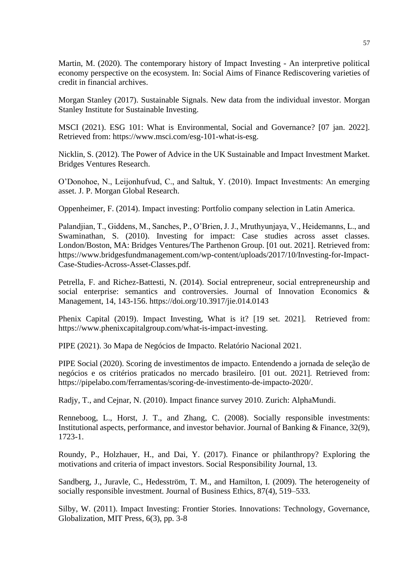Martin, M. (2020). The contemporary history of Impact Investing - An interpretive political economy perspective on the ecosystem. In: Social Aims of Finance Rediscovering varieties of credit in financial archives.

Morgan Stanley (2017). Sustainable Signals. New data from the individual investor. Morgan Stanley Institute for Sustainable Investing.

MSCI (2021). ESG 101: What is Environmental, Social and Governance? [07 jan. 2022]. Retrieved from: https://www.msci.com/esg-101-what-is-esg.

Nicklin, S. (2012). The Power of Advice in the UK Sustainable and Impact Investment Market. Bridges Ventures Research.

O'Donohoe, N., Leijonhufvud, C., and Saltuk, Y. (2010). Impact Investments: An emerging asset. J. P. Morgan Global Research.

Oppenheimer, F. (2014). Impact investing: Portfolio company selection in Latin America.

Palandjian, T., Giddens, M., Sanches, P., O'Brien, J. J., Mruthyunjaya, V., Heidemanns, L., and Swaminathan, S. (2010). Investing for impact: Case studies across asset classes. London/Boston, MA: Bridges Ventures/The Parthenon Group. [01 out. 2021]. Retrieved from: https://www.bridgesfundmanagement.com/wp-content/uploads/2017/10/Investing-for-Impact-Case-Studies-Across-Asset-Classes.pdf.

Petrella, F. and Richez-Battesti, N. (2014). Social entrepreneur, social entrepreneurship and social enterprise: semantics and controversies. Journal of Innovation Economics & Management, 14, 143-156. https://doi.org/10.3917/jie.014.0143

Phenix Capital (2019). Impact Investing, What is it? [19 set. 2021]. Retrieved from: https://www.phenixcapitalgroup.com/what-is-impact-investing.

PIPE (2021). 3o Mapa de Negócios de Impacto. Relatório Nacional 2021.

PIPE Social (2020). Scoring de investimentos de impacto. Entendendo a jornada de seleção de negócios e os critérios praticados no mercado brasileiro. [01 out. 2021]. Retrieved from: https://pipelabo.com/ferramentas/scoring-de-investimento-de-impacto-2020/.

Radjy, T., and Cejnar, N. (2010). Impact finance survey 2010. Zurich: AlphaMundi.

Renneboog, L., Horst, J. T., and Zhang, C. (2008). Socially responsible investments: Institutional aspects, performance, and investor behavior. Journal of Banking & Finance, 32(9), 1723-1.

Roundy, P., Holzhauer, H., and Dai, Y. (2017). Finance or philanthropy? Exploring the motivations and criteria of impact investors. Social Responsibility Journal, 13.

Sandberg, J., Juravle, C., Hedesström, T. M., and Hamilton, I. (2009). The heterogeneity of socially responsible investment. Journal of Business Ethics, 87(4), 519–533.

Silby, W. (2011). Impact Investing: Frontier Stories. Innovations: Technology, Governance, Globalization, MIT Press, 6(3), pp. 3-8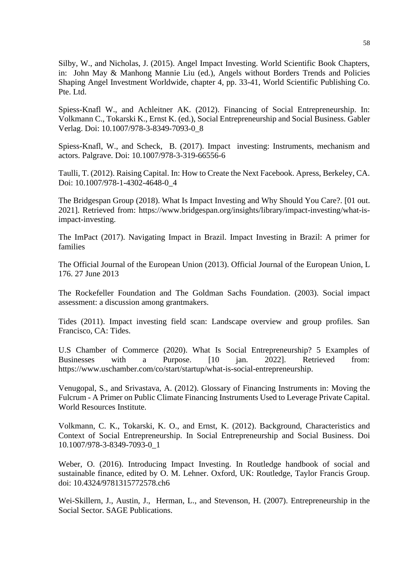Silby, W., and Nicholas, J. (2015). Angel Impact Investing. World Scientific Book Chapters, in: John May & Manhong Mannie Liu (ed.), Angels without Borders Trends and Policies Shaping Angel Investment Worldwide, chapter 4, pp. 33-41, World Scientific Publishing Co. Pte. Ltd.

Spiess-Knafl W., and Achleitner AK. (2012). Financing of Social Entrepreneurship. In: Volkmann C., Tokarski K., Ernst K. (ed.), Social Entrepreneurship and Social Business. Gabler Verlag. Doi: 10.1007/978-3-8349-7093-0\_8

Spiess-Knafl, W., and Scheck, B. (2017). Impact investing: Instruments, mechanism and actors. Palgrave. Doi: 10.1007/978-3-319-66556-6

Taulli, T. (2012). Raising Capital. In: How to Create the Next Facebook. Apress, Berkeley, CA. Doi: 10.1007/978-1-4302-4648-0\_4

The Bridgespan Group (2018). What Is Impact Investing and Why Should You Care?. [01 out. 2021]. Retrieved from: https://www.bridgespan.org/insights/library/impact-investing/what-isimpact-investing.

The ImPact (2017). Navigating Impact in Brazil. Impact Investing in Brazil: A primer for families

The Official Journal of the European Union (2013). Official Journal of the European Union, L 176. 27 June 2013

The Rockefeller Foundation and The Goldman Sachs Foundation. (2003). Social impact assessment: a discussion among grantmakers.

Tides (2011). Impact investing field scan: Landscape overview and group profiles. San Francisco, CA: Tides.

U.S Chamber of Commerce (2020). What Is Social Entrepreneurship? 5 Examples of Businesses with a Purpose. [10 jan. 2022]. Retrieved from: https://www.uschamber.com/co/start/startup/what-is-social-entrepreneurship.

Venugopal, S., and Srivastava, A. (2012). Glossary of Financing Instruments in: Moving the Fulcrum - A Primer on Public Climate Financing Instruments Used to Leverage Private Capital. World Resources Institute.

Volkmann, C. K., Tokarski, K. O., and Ernst, K. (2012). Background, Characteristics and Context of Social Entrepreneurship. In Social Entrepreneurship and Social Business. Doi 10.1007/978-3-8349-7093-0\_1

Weber, O. (2016). Introducing Impact Investing. In Routledge handbook of social and sustainable finance, edited by O. M. Lehner. Oxford, UK: Routledge, Taylor Francis Group. doi: 10.4324/9781315772578.ch6

Wei-Skillern, J., Austin, J., Herman, L., and Stevenson, H. (2007). Entrepreneurship in the Social Sector. SAGE Publications.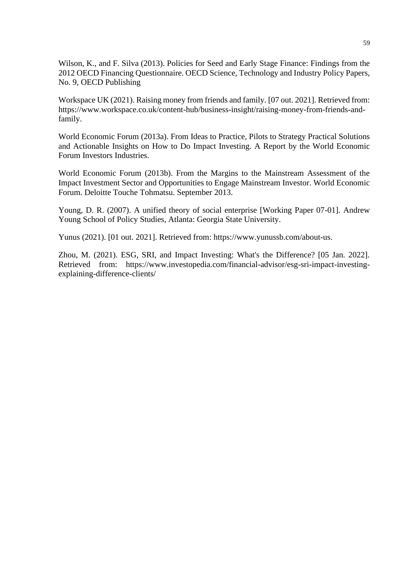Wilson, K., and F. Silva (2013). Policies for Seed and Early Stage Finance: Findings from the 2012 OECD Financing Questionnaire. OECD Science, Technology and Industry Policy Papers, No. 9, OECD Publishing

Workspace UK (2021). Raising money from friends and family. [07 out. 2021]. Retrieved from: https://www.workspace.co.uk/content-hub/business-insight/raising-money-from-friends-andfamily.

World Economic Forum (2013a). From Ideas to Practice, Pilots to Strategy Practical Solutions and Actionable Insights on How to Do Impact Investing. A Report by the World Economic Forum Investors Industries.

World Economic Forum (2013b). From the Margins to the Mainstream Assessment of the Impact Investment Sector and Opportunities to Engage Mainstream Investor. World Economic Forum. Deloitte Touche Tohmatsu. September 2013.

Young, D. R. (2007). A unified theory of social enterprise [Working Paper 07-01]. Andrew Young School of Policy Studies, Atlanta: Georgia State University.

Yunus (2021). [01 out. 2021]. Retrieved from: https://www.yunussb.com/about-us.

Zhou, M. (2021). ESG, SRI, and Impact Investing: What's the Difference? [05 Jan. 2022]. Retrieved from: https://www.investopedia.com/financial-advisor/esg-sri-impact-investingexplaining-difference-clients/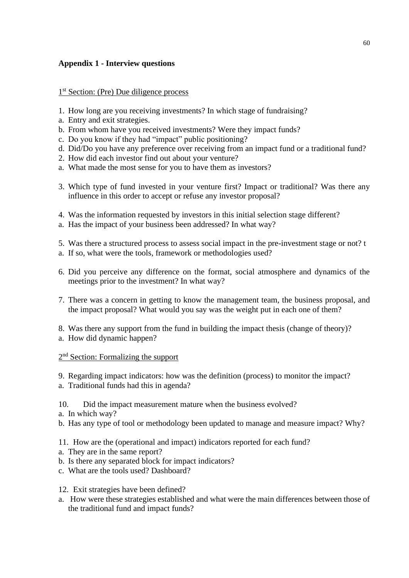# **Appendix 1 - Interview questions**

# 1<sup>st</sup> Section: (Pre) Due diligence process

- 1. How long are you receiving investments? In which stage of fundraising?
- a. Entry and exit strategies.
- b. From whom have you received investments? Were they impact funds?
- c. Do you know if they had "impact" public positioning?
- d. Did/Do you have any preference over receiving from an impact fund or a traditional fund?
- 2. How did each investor find out about your venture?
- a. What made the most sense for you to have them as investors?
- 3. Which type of fund invested in your venture first? Impact or traditional? Was there any influence in this order to accept or refuse any investor proposal?
- 4. Was the information requested by investors in this initial selection stage different?
- a. Has the impact of your business been addressed? In what way?
- 5. Was there a structured process to assess social impact in the pre-investment stage or not? t
- a. If so, what were the tools, framework or methodologies used?
- 6. Did you perceive any difference on the format, social atmosphere and dynamics of the meetings prior to the investment? In what way?
- 7. There was a concern in getting to know the management team, the business proposal, and the impact proposal? What would you say was the weight put in each one of them?
- 8. Was there any support from the fund in building the impact thesis (change of theory)?
- a. How did dynamic happen?

# 2<sup>nd</sup> Section: Formalizing the support

9. Regarding impact indicators: how was the definition (process) to monitor the impact? a. Traditional funds had this in agenda?

10. Did the impact measurement mature when the business evolved?

- a. In which way?
- b. Has any type of tool or methodology been updated to manage and measure impact? Why?
- 11. How are the (operational and impact) indicators reported for each fund?
- a. They are in the same report?
- b. Is there any separated block for impact indicators?
- c. What are the tools used? Dashboard?
- 12. Exit strategies have been defined?
- a. How were these strategies established and what were the main differences between those of the traditional fund and impact funds?